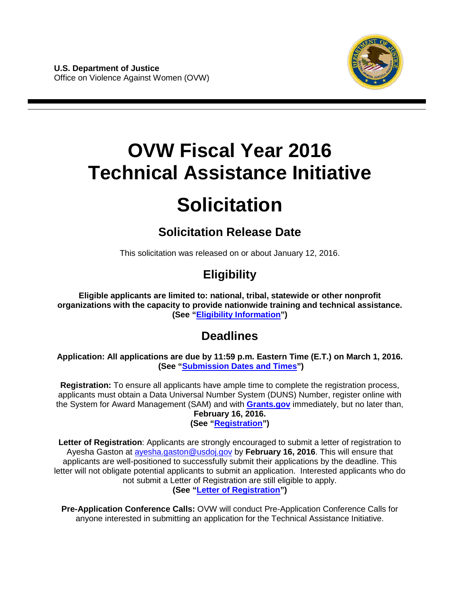

# **OVW Fiscal Year 2016 Technical Assistance Initiative**

# **Solicitation**

# **Solicitation Release Date**

This solicitation was released on or about January 12, 2016.

# **Eligibility**

**Eligible applicants are limited to: national, tribal, statewide or other nonprofit organizations with the capacity to provide nationwide training and technical assistance. (See ["Eligibility Information"](#page-21-0))**

# **Deadlines**

**Application: All applications are due by 11:59 p.m. Eastern Time (E.T.) on March 1, 2016. (See ["Submission Dates and Times"](#page-34-0))** 

**Registration:** To ensure all applicants have ample time to complete the registration process, applicants must obtain a Data Universal Number System (DUNS) Number, register online with the System for Award Management (SAM) and with **[Grants.gov](http://www.grants.gov/)** immediately, but no later than, **February 16, 2016. (See ["Registration"](#page-33-0))**

**Letter of Registration**: Applicants are strongly encouraged to submit a letter of registration to Ayesha Gaston at [ayesha.gaston@usdoj.gov](mailto:ayesha.gaston@usdoj.gov) by **February 16, 2016**. This will ensure that applicants are well-positioned to successfully submit their applications by the deadline. This letter will not obligate potential applicants to submit an application. Interested applicants who do not submit a Letter of Registration are still eligible to apply. **(See "Letter of Registration")** 

**Pre-Application Conference Calls:** OVW will conduct Pre-Application Conference Calls for anyone interested in submitting an application for the Technical Assistance Initiative.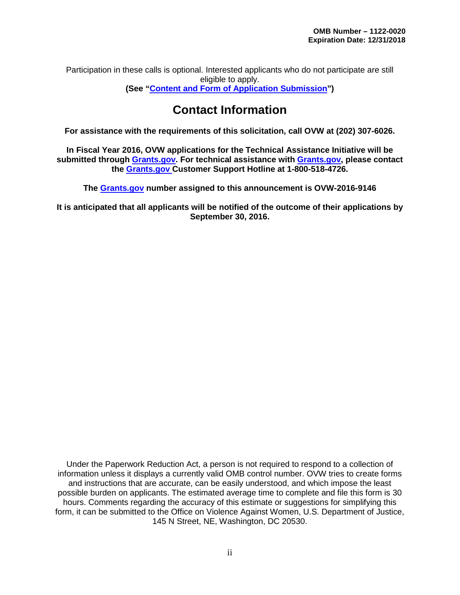Participation in these calls is optional. Interested applicants who do not participate are still eligible to apply. **(See ["Content and Form of Application Submission"](#page-21-1))**

# **Contact Information**

**For assistance with the requirements of this solicitation, call OVW at (202) 307-6026.** 

**In Fiscal Year 2016, OVW applications for the Technical Assistance Initiative will be submitted through [Grants.gov.](http://www.grants.gov/) For technical assistance with [Grants.gov,](http://www.grants.gov/) please contact the [Grants.gov C](http://www.grants.gov/)ustomer Support Hotline at 1-800-518-4726.**

**The [Grants.gov](http://www.grants.gov/) number assigned to this announcement is OVW-2016-9146**

**It is anticipated that all applicants will be notified of the outcome of their applications by September 30, 2016.** 

Under the Paperwork Reduction Act, a person is not required to respond to a collection of information unless it displays a currently valid OMB control number. OVW tries to create forms and instructions that are accurate, can be easily understood, and which impose the least possible burden on applicants. The estimated average time to complete and file this form is 30 hours. Comments regarding the accuracy of this estimate or suggestions for simplifying this form, it can be submitted to the Office on Violence Against Women, U.S. Department of Justice, 145 N Street, NE, Washington, DC 20530.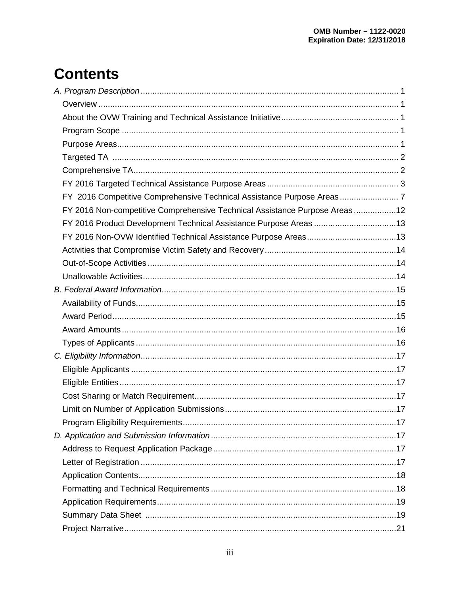# **Contents**

| FY 2016 Non-competitive Comprehensive Technical Assistance Purpose Areas12 |  |
|----------------------------------------------------------------------------|--|
| FY 2016 Product Development Technical Assistance Purpose Areas 13          |  |
|                                                                            |  |
|                                                                            |  |
|                                                                            |  |
|                                                                            |  |
|                                                                            |  |
|                                                                            |  |
|                                                                            |  |
|                                                                            |  |
|                                                                            |  |
|                                                                            |  |
|                                                                            |  |
|                                                                            |  |
|                                                                            |  |
|                                                                            |  |
|                                                                            |  |
|                                                                            |  |
|                                                                            |  |
|                                                                            |  |
|                                                                            |  |
|                                                                            |  |
|                                                                            |  |
|                                                                            |  |
|                                                                            |  |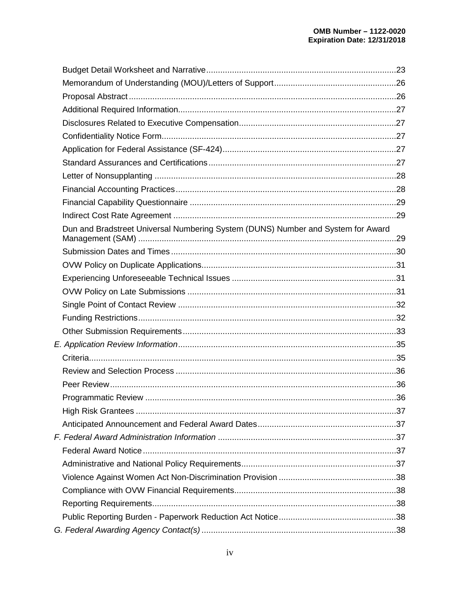| Dun and Bradstreet Universal Numbering System (DUNS) Number and System for Award |  |
|----------------------------------------------------------------------------------|--|
|                                                                                  |  |
|                                                                                  |  |
|                                                                                  |  |
|                                                                                  |  |
|                                                                                  |  |
|                                                                                  |  |
|                                                                                  |  |
|                                                                                  |  |
|                                                                                  |  |
|                                                                                  |  |
|                                                                                  |  |
|                                                                                  |  |
|                                                                                  |  |
|                                                                                  |  |
|                                                                                  |  |
|                                                                                  |  |
|                                                                                  |  |
|                                                                                  |  |
|                                                                                  |  |
|                                                                                  |  |
|                                                                                  |  |
|                                                                                  |  |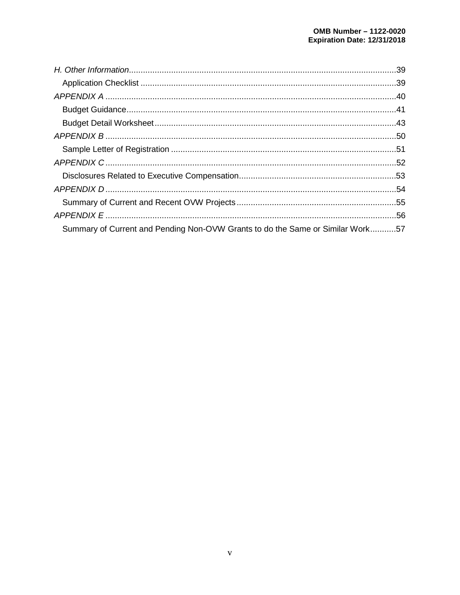| Summary of Current and Pending Non-OVW Grants to do the Same or Similar Work57 |  |
|--------------------------------------------------------------------------------|--|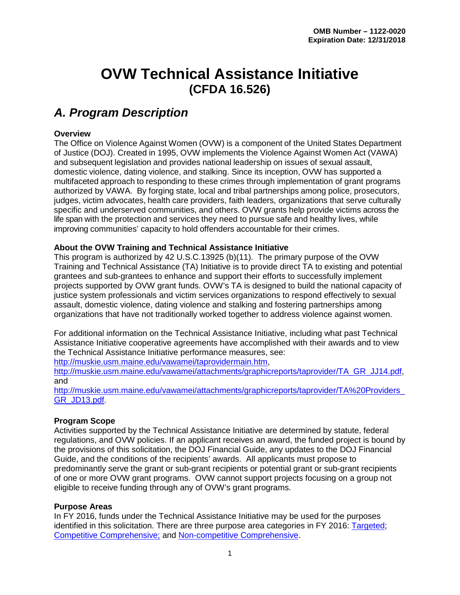# **OVW Technical Assistance Initiative (CFDA 16.526)**

# <span id="page-5-0"></span>*A. Program Description*

#### <span id="page-5-1"></span>**Overview**

The Office on Violence Against Women (OVW) is a component of the United States Department of Justice (DOJ). Created in 1995, OVW implements the Violence Against Women Act (VAWA) and subsequent legislation and provides national leadership on issues of sexual assault, domestic violence, dating violence, and stalking. Since its inception, OVW has supported a multifaceted approach to responding to these crimes through implementation of grant programs authorized by VAWA. By forging state, local and tribal partnerships among police, prosecutors, judges, victim advocates, health care providers, faith leaders, organizations that serve culturally specific and underserved communities, and others. OVW grants help provide victims across the life span with the protection and services they need to pursue safe and healthy lives, while improving communities' capacity to hold offenders accountable for their crimes.

#### <span id="page-5-2"></span>**About the OVW Training and Technical Assistance Initiative**

This program is authorized by 42 U.S.C.13925 (b)(11). The primary purpose of the OVW Training and Technical Assistance (TA) Initiative is to provide direct TA to existing and potential grantees and sub-grantees to enhance and support their efforts to successfully implement projects supported by OVW grant funds. OVW's TA is designed to build the national capacity of justice system professionals and victim services organizations to respond effectively to sexual assault, domestic violence, dating violence and stalking and fostering partnerships among organizations that have not traditionally worked together to address violence against women.

For additional information on the Technical Assistance Initiative, including what past Technical Assistance Initiative cooperative agreements have accomplished with their awards and to view the Technical Assistance Initiative performance measures, see:

[http://muskie.usm.maine.edu/vawamei/taprovidermain.htm,](http://muskie.usm.maine.edu/vawamei/taprovidermain.htm)

[http://muskie.usm.maine.edu/vawamei/attachments/graphicreports/taprovider/TA\\_GR\\_JJ14.pdf,](http://muskie.usm.maine.edu/vawamei/attachments/graphicreports/taprovider/TA_GR_JJ14.pdf) and

[http://muskie.usm.maine.edu/vawamei/attachments/graphicreports/taprovider/TA%20Providers\\_](http://muskie.usm.maine.edu/vawamei/attachments/graphicreports/taprovider/TA%20Providers_GR_JD13.pdf) [GR\\_JD13.pdf.](http://muskie.usm.maine.edu/vawamei/attachments/graphicreports/taprovider/TA%20Providers_GR_JD13.pdf)

#### <span id="page-5-3"></span>**Program Scope**

Activities supported by the Technical Assistance Initiative are determined by statute, federal regulations, and OVW policies. If an applicant receives an award, the funded project is bound by the provisions of this solicitation, the DOJ Financial Guide, any updates to the DOJ Financial Guide, and the conditions of the recipients' awards. All applicants must propose to predominantly serve the grant or sub-grant recipients or potential grant or sub-grant recipients of one or more OVW grant programs. OVW cannot support projects focusing on a group not eligible to receive funding through any of OVW's grant programs.

#### <span id="page-5-4"></span>**Purpose Areas**

In FY 2016, funds under the Technical Assistance Initiative may be used for the purposes identified in this solicitation. There are three purpose area categories in FY 2016: [Targeted;](#page-7-0) [Competitive Comprehensive;](#page-11-2) and [Non-competitive](#page-16-1) Comprehensive.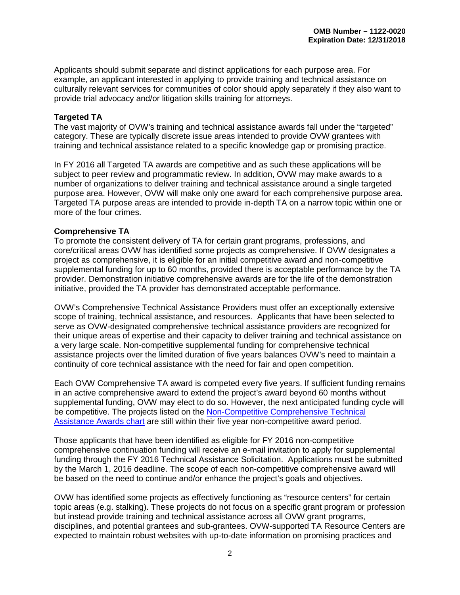Applicants should submit separate and distinct applications for each purpose area. For example, an applicant interested in applying to provide training and technical assistance on culturally relevant services for communities of color should apply separately if they also want to provide trial advocacy and/or litigation skills training for attorneys.

#### **Targeted TA**

The vast majority of OVW's training and technical assistance awards fall under the "targeted" category. These are typically discrete issue areas intended to provide OVW grantees with training and technical assistance related to a specific knowledge gap or promising practice.

In FY 2016 all Targeted TA awards are competitive and as such these applications will be subject to peer review and programmatic review. In addition, OVW may make awards to a number of organizations to deliver training and technical assistance around a single targeted purpose area. However, OVW will make only one award for each comprehensive purpose area. Targeted TA purpose areas are intended to provide in-depth TA on a narrow topic within one or more of the four crimes.

#### **Comprehensive TA**

To promote the consistent delivery of TA for certain grant programs, professions, and core/critical areas OVW has identified some projects as comprehensive. If OVW designates a project as comprehensive, it is eligible for an initial competitive award and non-competitive supplemental funding for up to 60 months, provided there is acceptable performance by the TA provider. Demonstration initiative comprehensive awards are for the life of the demonstration initiative, provided the TA provider has demonstrated acceptable performance.

OVW's Comprehensive Technical Assistance Providers must offer an exceptionally extensive scope of training, technical assistance, and resources. Applicants that have been selected to serve as OVW-designated comprehensive technical assistance providers are recognized for their unique areas of expertise and their capacity to deliver training and technical assistance on a very large scale. Non-competitive supplemental funding for comprehensive technical assistance projects over the limited duration of five years balances OVW's need to maintain a continuity of core technical assistance with the need for fair and open competition.

Each OVW Comprehensive TA award is competed every five years. If sufficient funding remains in an active comprehensive award to extend the project's award beyond 60 months without supplemental funding, OVW may elect to do so. However, the next anticipated funding cycle will be competitive. The projects listed on the [Non-Competitive Comprehensive Technical](#page-16-1)  [Assistance Awards chart](#page-16-1) are still within their five year non-competitive award period.

Those applicants that have been identified as eligible for FY 2016 non-competitive comprehensive continuation funding will receive an e-mail invitation to apply for supplemental funding through the FY 2016 Technical Assistance Solicitation. Applications must be submitted by the March 1, 2016 deadline. The scope of each non-competitive comprehensive award will be based on the need to continue and/or enhance the project's goals and objectives.

OVW has identified some projects as effectively functioning as "resource centers" for certain topic areas (e.g. stalking). These projects do not focus on a specific grant program or profession but instead provide training and technical assistance across all OVW grant programs, disciplines, and potential grantees and sub-grantees. OVW-supported TA Resource Centers are expected to maintain robust websites with up-to-date information on promising practices and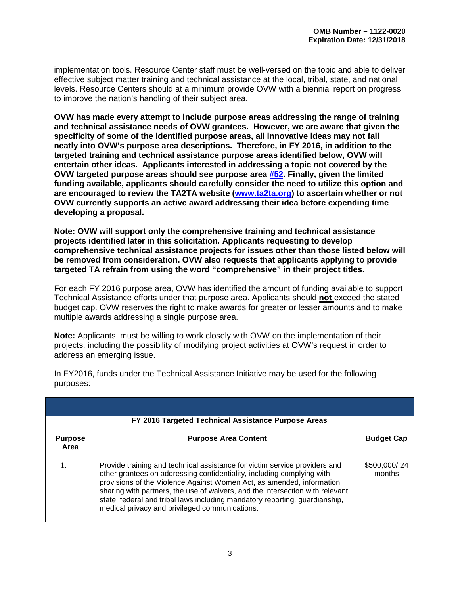implementation tools. Resource Center staff must be well-versed on the topic and able to deliver effective subject matter training and technical assistance at the local, tribal, state, and national levels. Resource Centers should at a minimum provide OVW with a biennial report on progress to improve the nation's handling of their subject area.

**OVW has made every attempt to include purpose areas addressing the range of training and technical assistance needs of OVW grantees. However, we are aware that given the specificity of some of the identified purpose areas, all innovative ideas may not fall neatly into OVW's purpose area descriptions. Therefore, in FY 2016, in addition to the targeted training and technical assistance purpose areas identified below, OVW will entertain other ideas. Applicants interested in addressing a topic not covered by the OVW targeted purpose areas should see purpose area [#52.](#page-17-2) Finally, given the limited funding available, applicants should carefully consider the need to utilize this option and are encouraged to review the TA2TA website [\(www.ta2ta.org\)](https://www.ta2ta.org/directory.html) to ascertain whether or not OVW currently supports an active award addressing their idea before expending time developing a proposal.** 

**Note: OVW will support only the comprehensive training and technical assistance projects identified later in this solicitation. Applicants requesting to develop comprehensive technical assistance projects for issues other than those listed below will be removed from consideration. OVW also requests that applicants applying to provide targeted TA refrain from using the word "comprehensive" in their project titles.** 

For each FY 2016 purpose area, OVW has identified the amount of funding available to support Technical Assistance efforts under that purpose area. Applicants should **not** exceed the stated budget cap. OVW reserves the right to make awards for greater or lesser amounts and to make multiple awards addressing a single purpose area.

**Note:** Applicants must be willing to work closely with OVW on the implementation of their projects, including the possibility of modifying project activities at OVW's request in order to address an emerging issue.

<span id="page-7-0"></span>

|                        | FY 2016 Targeted Technical Assistance Purpose Areas                                                                                                                                                                                                                                                                                                                                                                                             |                        |  |  |
|------------------------|-------------------------------------------------------------------------------------------------------------------------------------------------------------------------------------------------------------------------------------------------------------------------------------------------------------------------------------------------------------------------------------------------------------------------------------------------|------------------------|--|--|
| <b>Purpose</b><br>Area | <b>Purpose Area Content</b>                                                                                                                                                                                                                                                                                                                                                                                                                     | <b>Budget Cap</b>      |  |  |
|                        | Provide training and technical assistance for victim service providers and<br>other grantees on addressing confidentiality, including complying with<br>provisions of the Violence Against Women Act, as amended, information<br>sharing with partners, the use of waivers, and the intersection with relevant<br>state, federal and tribal laws including mandatory reporting, guardianship,<br>medical privacy and privileged communications. | \$500,000/24<br>months |  |  |

In FY2016, funds under the Technical Assistance Initiative may be used for the following purposes: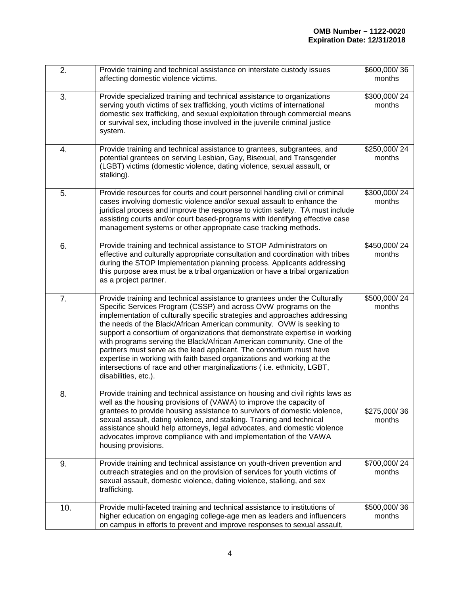| 2.  | Provide training and technical assistance on interstate custody issues<br>affecting domestic violence victims.                                                                                                                                                                                                                                                                                                                                                                                                                                                                                                                                                                                                   | \$600,000/36<br>months |
|-----|------------------------------------------------------------------------------------------------------------------------------------------------------------------------------------------------------------------------------------------------------------------------------------------------------------------------------------------------------------------------------------------------------------------------------------------------------------------------------------------------------------------------------------------------------------------------------------------------------------------------------------------------------------------------------------------------------------------|------------------------|
| 3.  | Provide specialized training and technical assistance to organizations<br>serving youth victims of sex trafficking, youth victims of international<br>domestic sex trafficking, and sexual exploitation through commercial means<br>or survival sex, including those involved in the juvenile criminal justice<br>system.                                                                                                                                                                                                                                                                                                                                                                                        | \$300,000/24<br>months |
| 4.  | Provide training and technical assistance to grantees, subgrantees, and<br>potential grantees on serving Lesbian, Gay, Bisexual, and Transgender<br>(LGBT) victims (domestic violence, dating violence, sexual assault, or<br>stalking).                                                                                                                                                                                                                                                                                                                                                                                                                                                                         | \$250,000/24<br>months |
| 5.  | Provide resources for courts and court personnel handling civil or criminal<br>cases involving domestic violence and/or sexual assault to enhance the<br>juridical process and improve the response to victim safety. TA must include<br>assisting courts and/or court based-programs with identifying effective case<br>management systems or other appropriate case tracking methods.                                                                                                                                                                                                                                                                                                                          | \$300,000/24<br>months |
| 6.  | Provide training and technical assistance to STOP Administrators on<br>effective and culturally appropriate consultation and coordination with tribes<br>during the STOP Implementation planning process. Applicants addressing<br>this purpose area must be a tribal organization or have a tribal organization<br>as a project partner.                                                                                                                                                                                                                                                                                                                                                                        | \$450,000/24<br>months |
| 7.  | Provide training and technical assistance to grantees under the Culturally<br>Specific Services Program (CSSP) and across OVW programs on the<br>implementation of culturally specific strategies and approaches addressing<br>the needs of the Black/African American community. OVW is seeking to<br>support a consortium of organizations that demonstrate expertise in working<br>with programs serving the Black/African American community. One of the<br>partners must serve as the lead applicant. The consortium must have<br>expertise in working with faith based organizations and working at the<br>intersections of race and other marginalizations (i.e. ethnicity, LGBT,<br>disabilities, etc.). | \$500,000/24<br>months |
| 8.  | Provide training and technical assistance on housing and civil rights laws as<br>well as the housing provisions of (VAWA) to improve the capacity of<br>grantees to provide housing assistance to survivors of domestic violence,<br>sexual assault, dating violence, and stalking. Training and technical<br>assistance should help attorneys, legal advocates, and domestic violence<br>advocates improve compliance with and implementation of the VAWA<br>housing provisions.                                                                                                                                                                                                                                | \$275,000/36<br>months |
| 9.  | Provide training and technical assistance on youth-driven prevention and<br>outreach strategies and on the provision of services for youth victims of<br>sexual assault, domestic violence, dating violence, stalking, and sex<br>trafficking.                                                                                                                                                                                                                                                                                                                                                                                                                                                                   | \$700,000/24<br>months |
| 10. | Provide multi-faceted training and technical assistance to institutions of<br>higher education on engaging college-age men as leaders and influencers<br>on campus in efforts to prevent and improve responses to sexual assault,                                                                                                                                                                                                                                                                                                                                                                                                                                                                                | \$500,000/36<br>months |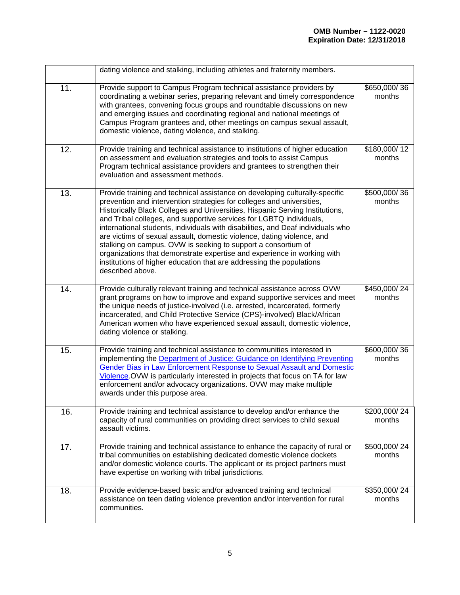|     | dating violence and stalking, including athletes and fraternity members.                                                                                                                                                                                                                                                                                                                                                                                                                                                                                                                                                                                                                                         |                        |
|-----|------------------------------------------------------------------------------------------------------------------------------------------------------------------------------------------------------------------------------------------------------------------------------------------------------------------------------------------------------------------------------------------------------------------------------------------------------------------------------------------------------------------------------------------------------------------------------------------------------------------------------------------------------------------------------------------------------------------|------------------------|
| 11. | Provide support to Campus Program technical assistance providers by<br>coordinating a webinar series, preparing relevant and timely correspondence<br>with grantees, convening focus groups and roundtable discussions on new<br>and emerging issues and coordinating regional and national meetings of<br>Campus Program grantees and, other meetings on campus sexual assault,<br>domestic violence, dating violence, and stalking.                                                                                                                                                                                                                                                                            | \$650,000/36<br>months |
| 12. | Provide training and technical assistance to institutions of higher education<br>on assessment and evaluation strategies and tools to assist Campus<br>Program technical assistance providers and grantees to strengthen their<br>evaluation and assessment methods.                                                                                                                                                                                                                                                                                                                                                                                                                                             | \$180,000/12<br>months |
| 13. | Provide training and technical assistance on developing culturally-specific<br>prevention and intervention strategies for colleges and universities,<br>Historically Black Colleges and Universities, Hispanic Serving Institutions,<br>and Tribal colleges, and supportive services for LGBTQ individuals,<br>international students, individuals with disabilities, and Deaf individuals who<br>are victims of sexual assault, domestic violence, dating violence, and<br>stalking on campus. OVW is seeking to support a consortium of<br>organizations that demonstrate expertise and experience in working with<br>institutions of higher education that are addressing the populations<br>described above. | \$500,000/36<br>months |
| 14. | Provide culturally relevant training and technical assistance across OVW<br>grant programs on how to improve and expand supportive services and meet<br>the unique needs of justice-involved (i.e. arrested, incarcerated, formerly<br>incarcerated, and Child Protective Service (CPS)-involved) Black/African<br>American women who have experienced sexual assault, domestic violence,<br>dating violence or stalking.                                                                                                                                                                                                                                                                                        | \$450,000/24<br>months |
| 15. | Provide training and technical assistance to communities interested in<br>implementing the Department of Justice: Guidance on Identifying Preventing<br><b>Gender Bias in Law Enforcement Response to Sexual Assault and Domestic</b><br>Violence.OVW is particularly interested in projects that focus on TA for law<br>enforcement and/or advocacy organizations. OVW may make multiple<br>awards under this purpose area.                                                                                                                                                                                                                                                                                     | \$600,000/36<br>months |
| 16. | Provide training and technical assistance to develop and/or enhance the<br>capacity of rural communities on providing direct services to child sexual<br>assault victims.                                                                                                                                                                                                                                                                                                                                                                                                                                                                                                                                        | \$200,000/24<br>months |
| 17. | Provide training and technical assistance to enhance the capacity of rural or<br>tribal communities on establishing dedicated domestic violence dockets<br>and/or domestic violence courts. The applicant or its project partners must<br>have expertise on working with tribal jurisdictions.                                                                                                                                                                                                                                                                                                                                                                                                                   | \$500,000/24<br>months |
| 18. | Provide evidence-based basic and/or advanced training and technical<br>assistance on teen dating violence prevention and/or intervention for rural<br>communities.                                                                                                                                                                                                                                                                                                                                                                                                                                                                                                                                               | \$350,000/24<br>months |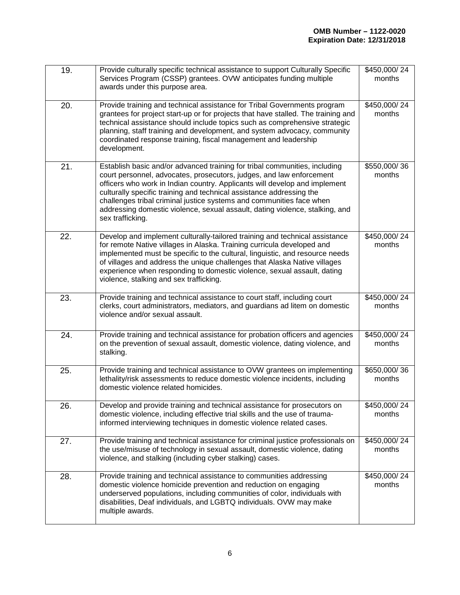| 19. | Provide culturally specific technical assistance to support Culturally Specific<br>Services Program (CSSP) grantees. OVW anticipates funding multiple<br>awards under this purpose area.                                                                                                                                                                                                                                                                                             | \$450,000/24<br>months |
|-----|--------------------------------------------------------------------------------------------------------------------------------------------------------------------------------------------------------------------------------------------------------------------------------------------------------------------------------------------------------------------------------------------------------------------------------------------------------------------------------------|------------------------|
| 20. | Provide training and technical assistance for Tribal Governments program<br>grantees for project start-up or for projects that have stalled. The training and<br>technical assistance should include topics such as comprehensive strategic<br>planning, staff training and development, and system advocacy, community<br>coordinated response training, fiscal management and leadership<br>development.                                                                           | \$450,000/24<br>months |
| 21. | Establish basic and/or advanced training for tribal communities, including<br>court personnel, advocates, prosecutors, judges, and law enforcement<br>officers who work in Indian country. Applicants will develop and implement<br>culturally specific training and technical assistance addressing the<br>challenges tribal criminal justice systems and communities face when<br>addressing domestic violence, sexual assault, dating violence, stalking, and<br>sex trafficking. | \$550,000/36<br>months |
| 22. | Develop and implement culturally-tailored training and technical assistance<br>for remote Native villages in Alaska. Training curricula developed and<br>implemented must be specific to the cultural, linguistic, and resource needs<br>of villages and address the unique challenges that Alaska Native villages<br>experience when responding to domestic violence, sexual assault, dating<br>violence, stalking and sex trafficking.                                             | \$450,000/24<br>months |
| 23. | Provide training and technical assistance to court staff, including court<br>clerks, court administrators, mediators, and guardians ad litem on domestic<br>violence and/or sexual assault.                                                                                                                                                                                                                                                                                          | \$450,000/24<br>months |
| 24. | Provide training and technical assistance for probation officers and agencies<br>on the prevention of sexual assault, domestic violence, dating violence, and<br>stalking.                                                                                                                                                                                                                                                                                                           | \$450,000/24<br>months |
| 25. | Provide training and technical assistance to OVW grantees on implementing<br>lethality/risk assessments to reduce domestic violence incidents, including<br>domestic violence related homicides.                                                                                                                                                                                                                                                                                     | \$650,000/36<br>months |
| 26. | Develop and provide training and technical assistance for prosecutors on<br>domestic violence, including effective trial skills and the use of trauma-<br>informed interviewing techniques in domestic violence related cases.                                                                                                                                                                                                                                                       | \$450,000/24<br>months |
| 27. | Provide training and technical assistance for criminal justice professionals on<br>the use/misuse of technology in sexual assault, domestic violence, dating<br>violence, and stalking (including cyber stalking) cases.                                                                                                                                                                                                                                                             | \$450,000/24<br>months |
| 28. | Provide training and technical assistance to communities addressing<br>domestic violence homicide prevention and reduction on engaging<br>underserved populations, including communities of color, individuals with<br>disabilities, Deaf individuals, and LGBTQ individuals. OVW may make<br>multiple awards.                                                                                                                                                                       | \$450,000/24<br>months |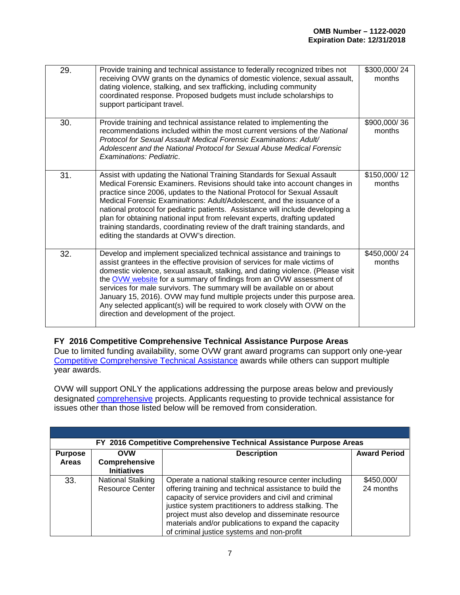| 29. | Provide training and technical assistance to federally recognized tribes not<br>receiving OVW grants on the dynamics of domestic violence, sexual assault,<br>dating violence, stalking, and sex trafficking, including community<br>coordinated response. Proposed budgets must include scholarships to<br>support participant travel.                                                                                                                                                                                                                                                                | \$300,000/24<br>months |
|-----|--------------------------------------------------------------------------------------------------------------------------------------------------------------------------------------------------------------------------------------------------------------------------------------------------------------------------------------------------------------------------------------------------------------------------------------------------------------------------------------------------------------------------------------------------------------------------------------------------------|------------------------|
| 30. | Provide training and technical assistance related to implementing the<br>recommendations included within the most current versions of the National<br>Protocol for Sexual Assault Medical Forensic Examinations: Adult/<br>Adolescent and the National Protocol for Sexual Abuse Medical Forensic<br>Examinations: Pediatric.                                                                                                                                                                                                                                                                          | \$900,000/36<br>months |
| 31. | Assist with updating the National Training Standards for Sexual Assault<br>Medical Forensic Examiners. Revisions should take into account changes in<br>practice since 2006, updates to the National Protocol for Sexual Assault<br>Medical Forensic Examinations: Adult/Adolescent, and the issuance of a<br>national protocol for pediatric patients. Assistance will include developing a<br>plan for obtaining national input from relevant experts, drafting updated<br>training standards, coordinating review of the draft training standards, and<br>editing the standards at OVW's direction. | \$150,000/12<br>months |
| 32. | Develop and implement specialized technical assistance and trainings to<br>assist grantees in the effective provision of services for male victims of<br>domestic violence, sexual assault, stalking, and dating violence. (Please visit<br>the OVW website for a summary of findings from an OVW assessment of<br>services for male survivors. The summary will be available on or about<br>January 15, 2016). OVW may fund multiple projects under this purpose area.<br>Any selected applicant(s) will be required to work closely with OVW on the<br>direction and development of the project.     | \$450,000/24<br>months |

#### <span id="page-11-0"></span>**FY 2016 Competitive Comprehensive Technical Assistance Purpose Areas**

<span id="page-11-1"></span>Due to limited funding availability, some OVW grant award programs can support only one-year [Competitive Comprehensive Technical Assistance](#page-11-2) awards while others can support multiple year awards.

OVW will support ONLY the applications addressing the purpose areas below and previously designated [comprehensive](#page-16-1) projects. Applicants requesting to provide technical assistance for issues other than those listed below will be removed from consideration.

<span id="page-11-2"></span>

|                | FY 2016 Competitive Comprehensive Technical Assistance Purpose Areas |                                                                                                                                                                                                                                                                                                                                                                                               |                         |  |
|----------------|----------------------------------------------------------------------|-----------------------------------------------------------------------------------------------------------------------------------------------------------------------------------------------------------------------------------------------------------------------------------------------------------------------------------------------------------------------------------------------|-------------------------|--|
| <b>Purpose</b> | <b>OVW</b>                                                           | <b>Description</b>                                                                                                                                                                                                                                                                                                                                                                            | <b>Award Period</b>     |  |
| <b>Areas</b>   | Comprehensive<br><b>Initiatives</b>                                  |                                                                                                                                                                                                                                                                                                                                                                                               |                         |  |
| 33.            | National Stalking<br><b>Resource Center</b>                          | Operate a national stalking resource center including<br>offering training and technical assistance to build the<br>capacity of service providers and civil and criminal<br>justice system practitioners to address stalking. The<br>project must also develop and disseminate resource<br>materials and/or publications to expand the capacity<br>of criminal justice systems and non-profit | \$450,000/<br>24 months |  |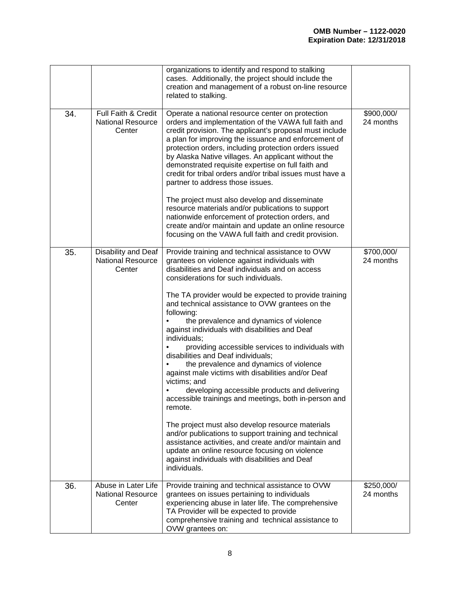|     |                                                           | organizations to identify and respond to stalking<br>cases. Additionally, the project should include the<br>creation and management of a robust on-line resource<br>related to stalking.                                                                                                                                                                                                                                                                                                                                                                                                                                                                                                                                                                                                                                                                                                                                                                                                                                                                       |                         |
|-----|-----------------------------------------------------------|----------------------------------------------------------------------------------------------------------------------------------------------------------------------------------------------------------------------------------------------------------------------------------------------------------------------------------------------------------------------------------------------------------------------------------------------------------------------------------------------------------------------------------------------------------------------------------------------------------------------------------------------------------------------------------------------------------------------------------------------------------------------------------------------------------------------------------------------------------------------------------------------------------------------------------------------------------------------------------------------------------------------------------------------------------------|-------------------------|
| 34. | Full Faith & Credit<br><b>National Resource</b><br>Center | Operate a national resource center on protection<br>orders and implementation of the VAWA full faith and<br>credit provision. The applicant's proposal must include<br>a plan for improving the issuance and enforcement of<br>protection orders, including protection orders issued<br>by Alaska Native villages. An applicant without the<br>demonstrated requisite expertise on full faith and<br>credit for tribal orders and/or tribal issues must have a<br>partner to address those issues.<br>The project must also develop and disseminate<br>resource materials and/or publications to support<br>nationwide enforcement of protection orders, and<br>create and/or maintain and update an online resource<br>focusing on the VAWA full faith and credit provision.                                                                                                                                                                                                                                                                                  | \$900,000/<br>24 months |
| 35. | Disability and Deaf<br><b>National Resource</b><br>Center | Provide training and technical assistance to OVW<br>grantees on violence against individuals with<br>disabilities and Deaf individuals and on access<br>considerations for such individuals.<br>The TA provider would be expected to provide training<br>and technical assistance to OVW grantees on the<br>following:<br>the prevalence and dynamics of violence<br>against individuals with disabilities and Deaf<br>individuals;<br>providing accessible services to individuals with<br>disabilities and Deaf individuals;<br>the prevalence and dynamics of violence<br>against male victims with disabilities and/or Deaf<br>victims; and<br>developing accessible products and delivering<br>accessible trainings and meetings, both in-person and<br>remote.<br>The project must also develop resource materials<br>and/or publications to support training and technical<br>assistance activities, and create and/or maintain and<br>update an online resource focusing on violence<br>against individuals with disabilities and Deaf<br>individuals. | \$700,000/<br>24 months |
| 36. | Abuse in Later Life<br><b>National Resource</b><br>Center | Provide training and technical assistance to OVW<br>grantees on issues pertaining to individuals<br>experiencing abuse in later life. The comprehensive<br>TA Provider will be expected to provide<br>comprehensive training and technical assistance to<br>OVW grantees on:                                                                                                                                                                                                                                                                                                                                                                                                                                                                                                                                                                                                                                                                                                                                                                                   | \$250,000/<br>24 months |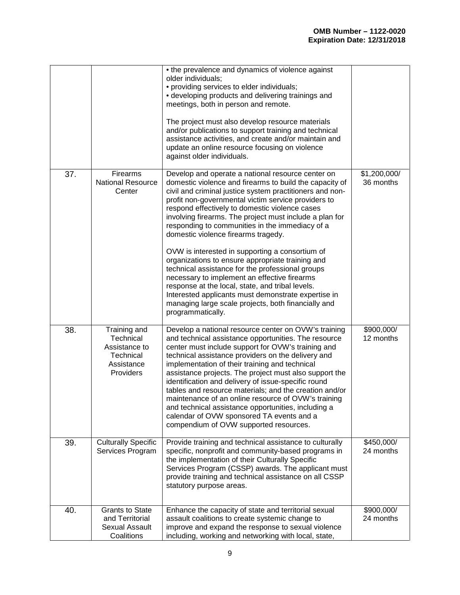|     |                                                                                    | • the prevalence and dynamics of violence against<br>older individuals;<br>• providing services to elder individuals;<br>• developing products and delivering trainings and<br>meetings, both in person and remote.<br>The project must also develop resource materials<br>and/or publications to support training and technical<br>assistance activities, and create and/or maintain and<br>update an online resource focusing on violence<br>against older individuals.                                                                                                                                                                                                                                                                                                                                                                |                           |
|-----|------------------------------------------------------------------------------------|------------------------------------------------------------------------------------------------------------------------------------------------------------------------------------------------------------------------------------------------------------------------------------------------------------------------------------------------------------------------------------------------------------------------------------------------------------------------------------------------------------------------------------------------------------------------------------------------------------------------------------------------------------------------------------------------------------------------------------------------------------------------------------------------------------------------------------------|---------------------------|
| 37. | Firearms<br><b>National Resource</b><br>Center                                     | Develop and operate a national resource center on<br>domestic violence and firearms to build the capacity of<br>civil and criminal justice system practitioners and non-<br>profit non-governmental victim service providers to<br>respond effectively to domestic violence cases<br>involving firearms. The project must include a plan for<br>responding to communities in the immediacy of a<br>domestic violence firearms tragedy.<br>OVW is interested in supporting a consortium of<br>organizations to ensure appropriate training and<br>technical assistance for the professional groups<br>necessary to implement an effective firearms<br>response at the local, state, and tribal levels.<br>Interested applicants must demonstrate expertise in<br>managing large scale projects, both financially and<br>programmatically. | \$1,200,000/<br>36 months |
| 38. | Training and<br>Technical<br>Assistance to<br>Technical<br>Assistance<br>Providers | Develop a national resource center on OVW's training<br>and technical assistance opportunities. The resource<br>center must include support for OVW's training and<br>technical assistance providers on the delivery and<br>implementation of their training and technical<br>assistance projects. The project must also support the<br>identification and delivery of issue-specific round<br>tables and resource materials; and the creation and/or<br>maintenance of an online resource of OVW's training<br>and technical assistance opportunities, including a<br>calendar of OVW sponsored TA events and a<br>compendium of OVW supported resources.                                                                                                                                                                               | \$900,000/<br>12 months   |
| 39. | <b>Culturally Specific</b><br>Services Program                                     | Provide training and technical assistance to culturally<br>specific, nonprofit and community-based programs in<br>the implementation of their Culturally Specific<br>Services Program (CSSP) awards. The applicant must<br>provide training and technical assistance on all CSSP<br>statutory purpose areas.                                                                                                                                                                                                                                                                                                                                                                                                                                                                                                                             | \$450,000/<br>24 months   |
| 40. | <b>Grants to State</b><br>and Territorial<br><b>Sexual Assault</b><br>Coalitions   | Enhance the capacity of state and territorial sexual<br>assault coalitions to create systemic change to<br>improve and expand the response to sexual violence<br>including, working and networking with local, state,                                                                                                                                                                                                                                                                                                                                                                                                                                                                                                                                                                                                                    | \$900,000/<br>24 months   |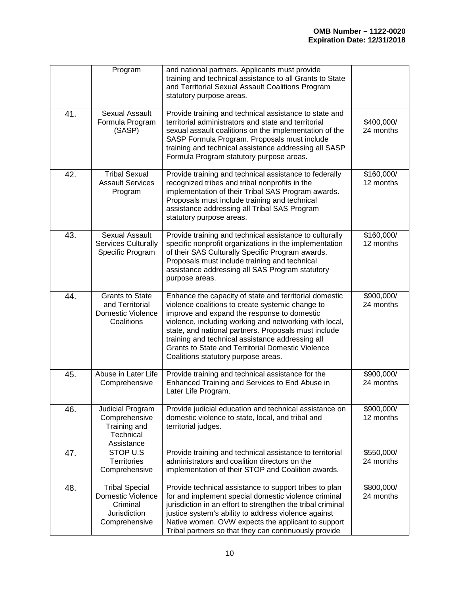|     | Program                                                                                        | and national partners. Applicants must provide<br>training and technical assistance to all Grants to State<br>and Territorial Sexual Assault Coalitions Program<br>statutory purpose areas.                                                                                                                                                                                                                                        |                         |
|-----|------------------------------------------------------------------------------------------------|------------------------------------------------------------------------------------------------------------------------------------------------------------------------------------------------------------------------------------------------------------------------------------------------------------------------------------------------------------------------------------------------------------------------------------|-------------------------|
| 41. | <b>Sexual Assault</b><br>Formula Program<br>(SASP)                                             | Provide training and technical assistance to state and<br>territorial administrators and state and territorial<br>sexual assault coalitions on the implementation of the<br>SASP Formula Program. Proposals must include<br>training and technical assistance addressing all SASP<br>Formula Program statutory purpose areas.                                                                                                      | \$400,000/<br>24 months |
| 42. | <b>Tribal Sexual</b><br><b>Assault Services</b><br>Program                                     | Provide training and technical assistance to federally<br>recognized tribes and tribal nonprofits in the<br>implementation of their Tribal SAS Program awards.<br>Proposals must include training and technical<br>assistance addressing all Tribal SAS Program<br>statutory purpose areas.                                                                                                                                        | \$160,000/<br>12 months |
| 43. | <b>Sexual Assault</b><br><b>Services Culturally</b><br>Specific Program                        | Provide training and technical assistance to culturally<br>specific nonprofit organizations in the implementation<br>of their SAS Culturally Specific Program awards.<br>Proposals must include training and technical<br>assistance addressing all SAS Program statutory<br>purpose areas.                                                                                                                                        | \$160,000/<br>12 months |
| 44. | <b>Grants to State</b><br>and Territorial<br>Domestic Violence<br>Coalitions                   | Enhance the capacity of state and territorial domestic<br>violence coalitions to create systemic change to<br>improve and expand the response to domestic<br>violence, including working and networking with local,<br>state, and national partners. Proposals must include<br>training and technical assistance addressing all<br><b>Grants to State and Territorial Domestic Violence</b><br>Coalitions statutory purpose areas. | \$900,000/<br>24 months |
| 45. | Abuse in Later Life<br>Comprehensive                                                           | Provide training and technical assistance for the<br>Enhanced Training and Services to End Abuse in<br>Later Life Program.                                                                                                                                                                                                                                                                                                         | \$900,000/<br>24 months |
| 46. | Judicial Program<br>Comprehensive<br>Training and<br>Technical<br>Assistance                   | Provide judicial education and technical assistance on<br>domestic violence to state, local, and tribal and<br>territorial judges.                                                                                                                                                                                                                                                                                                 | \$900,000/<br>12 months |
| 47. | STOP U.S<br><b>Territories</b><br>Comprehensive                                                | Provide training and technical assistance to territorial<br>administrators and coalition directors on the<br>implementation of their STOP and Coalition awards.                                                                                                                                                                                                                                                                    | \$550,000/<br>24 months |
| 48. | <b>Tribal Special</b><br><b>Domestic Violence</b><br>Criminal<br>Jurisdiction<br>Comprehensive | Provide technical assistance to support tribes to plan<br>for and implement special domestic violence criminal<br>jurisdiction in an effort to strengthen the tribal criminal<br>justice system's ability to address violence against<br>Native women. OVW expects the applicant to support<br>Tribal partners so that they can continuously provide                                                                               | \$800,000/<br>24 months |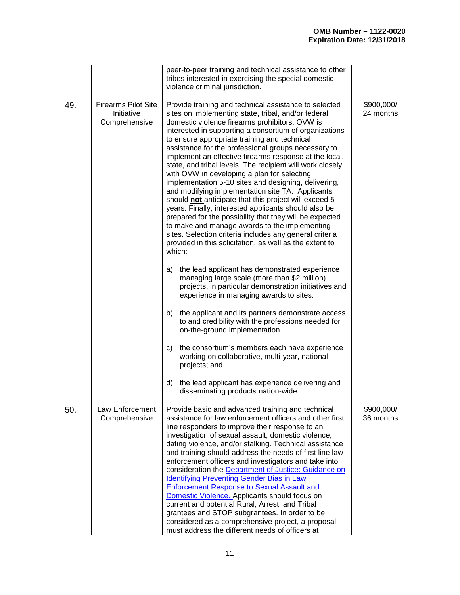|     |                                                           | peer-to-peer training and technical assistance to other<br>tribes interested in exercising the special domestic<br>violence criminal jurisdiction.                                                                                                                                                                                                                                                                                                                                                                                                                                                                                                                                                                                                                                                                                                                                                                                                                                                                                                                                                                                                                                                                                                                                                                                                                                                                                                                                                                                                                      |                         |
|-----|-----------------------------------------------------------|-------------------------------------------------------------------------------------------------------------------------------------------------------------------------------------------------------------------------------------------------------------------------------------------------------------------------------------------------------------------------------------------------------------------------------------------------------------------------------------------------------------------------------------------------------------------------------------------------------------------------------------------------------------------------------------------------------------------------------------------------------------------------------------------------------------------------------------------------------------------------------------------------------------------------------------------------------------------------------------------------------------------------------------------------------------------------------------------------------------------------------------------------------------------------------------------------------------------------------------------------------------------------------------------------------------------------------------------------------------------------------------------------------------------------------------------------------------------------------------------------------------------------------------------------------------------------|-------------------------|
| 49. | <b>Firearms Pilot Site</b><br>Initiative<br>Comprehensive | Provide training and technical assistance to selected<br>sites on implementing state, tribal, and/or federal<br>domestic violence firearms prohibitors. OVW is<br>interested in supporting a consortium of organizations<br>to ensure appropriate training and technical<br>assistance for the professional groups necessary to<br>implement an effective firearms response at the local,<br>state, and tribal levels. The recipient will work closely<br>with OVW in developing a plan for selecting<br>implementation 5-10 sites and designing, delivering,<br>and modifying implementation site TA. Applicants<br>should not anticipate that this project will exceed 5<br>years. Finally, interested applicants should also be<br>prepared for the possibility that they will be expected<br>to make and manage awards to the implementing<br>sites. Selection criteria includes any general criteria<br>provided in this solicitation, as well as the extent to<br>which:<br>the lead applicant has demonstrated experience<br>a)<br>managing large scale (more than \$2 million)<br>projects, in particular demonstration initiatives and<br>experience in managing awards to sites.<br>the applicant and its partners demonstrate access<br>b)<br>to and credibility with the professions needed for<br>on-the-ground implementation.<br>the consortium's members each have experience<br>C)<br>working on collaborative, multi-year, national<br>projects; and<br>the lead applicant has experience delivering and<br>d)<br>disseminating products nation-wide. | \$900,000/<br>24 months |
| 50. | Law Enforcement<br>Comprehensive                          | Provide basic and advanced training and technical<br>assistance for law enforcement officers and other first<br>line responders to improve their response to an<br>investigation of sexual assault, domestic violence,<br>dating violence, and/or stalking. Technical assistance<br>and training should address the needs of first line law<br>enforcement officers and investigators and take into<br>consideration the <b>Department of Justice: Guidance on</b><br><b>Identifying Preventing Gender Bias in Law</b><br><b>Enforcement Response to Sexual Assault and</b><br>Domestic Violence. Applicants should focus on<br>current and potential Rural, Arrest, and Tribal<br>grantees and STOP subgrantees. In order to be<br>considered as a comprehensive project, a proposal<br>must address the different needs of officers at                                                                                                                                                                                                                                                                                                                                                                                                                                                                                                                                                                                                                                                                                                                                | \$900,000/<br>36 months |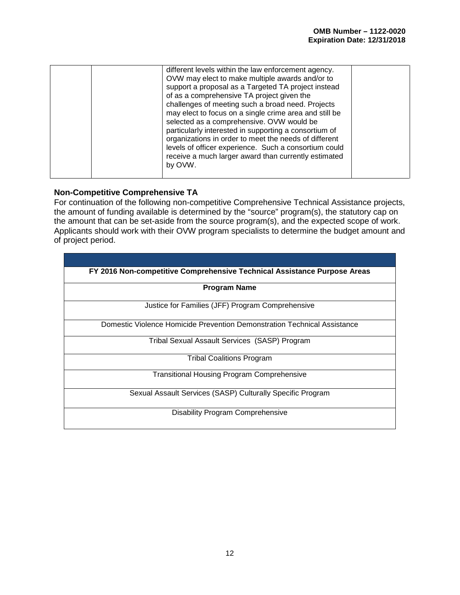| different levels within the law enforcement agency.<br>OVW may elect to make multiple awards and/or to<br>support a proposal as a Targeted TA project instead<br>of as a comprehensive TA project given the<br>challenges of meeting such a broad need. Projects<br>may elect to focus on a single crime area and still be<br>selected as a comprehensive. OVW would be<br>particularly interested in supporting a consortium of<br>organizations in order to meet the needs of different<br>levels of officer experience. Such a consortium could<br>receive a much larger award than currently estimated<br>by OVW. |  |
|-----------------------------------------------------------------------------------------------------------------------------------------------------------------------------------------------------------------------------------------------------------------------------------------------------------------------------------------------------------------------------------------------------------------------------------------------------------------------------------------------------------------------------------------------------------------------------------------------------------------------|--|
|                                                                                                                                                                                                                                                                                                                                                                                                                                                                                                                                                                                                                       |  |

#### <span id="page-16-0"></span>**Non-Competitive Comprehensive TA**

For continuation of the following non-competitive Comprehensive Technical Assistance projects, the amount of funding available is determined by the "source" program(s), the statutory cap on the amount that can be set-aside from the source program(s), and the expected scope of work. Applicants should work with their OVW program specialists to determine the budget amount and of project period.

<span id="page-16-1"></span>

| FY 2016 Non-competitive Comprehensive Technical Assistance Purpose Areas |
|--------------------------------------------------------------------------|
| <b>Program Name</b>                                                      |
| Justice for Families (JFF) Program Comprehensive                         |
| Domestic Violence Homicide Prevention Demonstration Technical Assistance |
| Tribal Sexual Assault Services (SASP) Program                            |
| Tribal Coalitions Program                                                |
| <b>Transitional Housing Program Comprehensive</b>                        |
| Sexual Assault Services (SASP) Culturally Specific Program               |
| <b>Disability Program Comprehensive</b>                                  |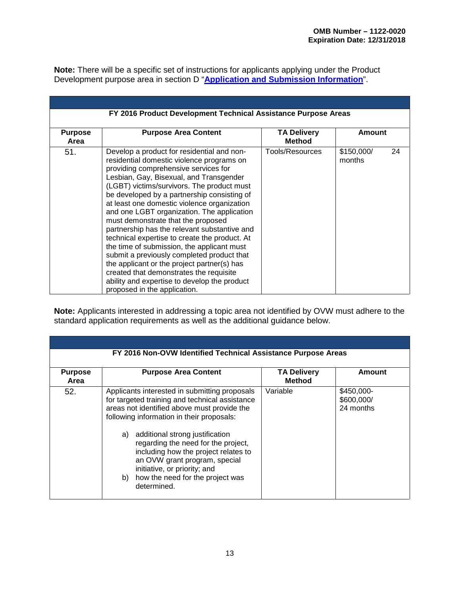<span id="page-17-0"></span>**Note:** There will be a specific set of instructions for applicants applying under the Product Development purpose area in section D "**[Application and Submission Information](#page-21-7)**".

<span id="page-17-3"></span>

| FY 2016 Product Development Technical Assistance Purpose Areas |                                                                                                                                                                                                                                                                                                                                                                                                                                                                                                                                                                                                                                                                                                                                                                                   |                                     |                            |  |  |  |
|----------------------------------------------------------------|-----------------------------------------------------------------------------------------------------------------------------------------------------------------------------------------------------------------------------------------------------------------------------------------------------------------------------------------------------------------------------------------------------------------------------------------------------------------------------------------------------------------------------------------------------------------------------------------------------------------------------------------------------------------------------------------------------------------------------------------------------------------------------------|-------------------------------------|----------------------------|--|--|--|
| <b>Purpose</b><br>Area                                         | <b>Purpose Area Content</b>                                                                                                                                                                                                                                                                                                                                                                                                                                                                                                                                                                                                                                                                                                                                                       | <b>TA Delivery</b><br><b>Method</b> | Amount                     |  |  |  |
| 51.                                                            | Develop a product for residential and non-<br>residential domestic violence programs on<br>providing comprehensive services for<br>Lesbian, Gay, Bisexual, and Transgender<br>(LGBT) victims/survivors. The product must<br>be developed by a partnership consisting of<br>at least one domestic violence organization<br>and one LGBT organization. The application<br>must demonstrate that the proposed<br>partnership has the relevant substantive and<br>technical expertise to create the product. At<br>the time of submission, the applicant must<br>submit a previously completed product that<br>the applicant or the project partner(s) has<br>created that demonstrates the requisite<br>ability and expertise to develop the product<br>proposed in the application. | Tools/Resources                     | \$150,000/<br>24<br>months |  |  |  |

<span id="page-17-1"></span>**Note:** Applicants interested in addressing a topic area not identified by OVW must adhere to the standard application requirements as well as the additional guidance below.

<span id="page-17-2"></span>

| <b>Purpose</b><br>Area | <b>Purpose Area Content</b>                                                                                                                                                                                                                                                                                                                                                                                                             | <b>TA Delivery</b><br><b>Method</b> | Amount                                |
|------------------------|-----------------------------------------------------------------------------------------------------------------------------------------------------------------------------------------------------------------------------------------------------------------------------------------------------------------------------------------------------------------------------------------------------------------------------------------|-------------------------------------|---------------------------------------|
| 52.                    | Applicants interested in submitting proposals<br>for targeted training and technical assistance<br>areas not identified above must provide the<br>following information in their proposals:<br>a) additional strong justification<br>regarding the need for the project,<br>including how the project relates to<br>an OVW grant program, special<br>initiative, or priority; and<br>b) how the need for the project was<br>determined. | Variable                            | \$450,000-<br>\$600,000/<br>24 months |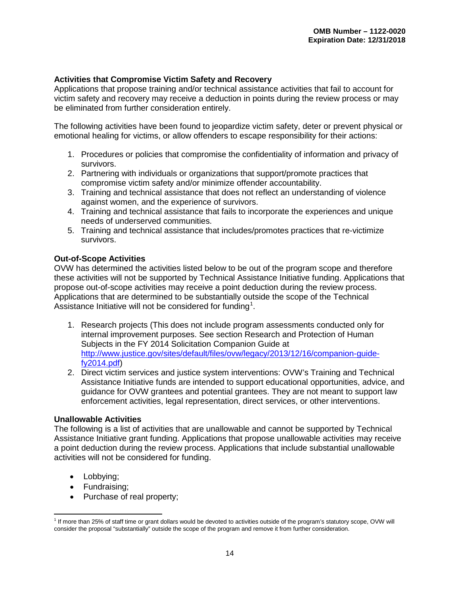#### <span id="page-18-0"></span>**Activities that Compromise Victim Safety and Recovery**

Applications that propose training and/or technical assistance activities that fail to account for victim safety and recovery may receive a deduction in points during the review process or may be eliminated from further consideration entirely.

The following activities have been found to jeopardize victim safety, deter or prevent physical or emotional healing for victims, or allow offenders to escape responsibility for their actions:

- 1. Procedures or policies that compromise the confidentiality of information and privacy of survivors.
- 2. Partnering with individuals or organizations that support/promote practices that compromise victim safety and/or minimize offender accountability.
- 3. Training and technical assistance that does not reflect an understanding of violence against women, and the experience of survivors.
- 4. Training and technical assistance that fails to incorporate the experiences and unique needs of underserved communities.
- 5. Training and technical assistance that includes/promotes practices that re-victimize survivors.

#### <span id="page-18-1"></span>**Out-of-Scope Activities**

OVW has determined the activities listed below to be out of the program scope and therefore these activities will not be supported by Technical Assistance Initiative funding. Applications that propose out-of-scope activities may receive a point deduction during the review process. Applications that are determined to be substantially outside the scope of the Technical Assistance Initiative will not be considered for funding<sup>[1](#page-18-3)</sup>.

- 1. Research projects (This does not include program assessments conducted only for internal improvement purposes. See section Research and Protection of Human Subjects in the FY 2014 Solicitation Companion Guide at [http://www.justice.gov/sites/default/files/ovw/legacy/2013/12/16/companion-guide](http://www.justice.gov/sites/default/files/ovw/legacy/2013/12/16/companion-guide-fy2014.pdf)[fy2014.pdf\)](http://www.justice.gov/sites/default/files/ovw/legacy/2013/12/16/companion-guide-fy2014.pdf)
- 2. Direct victim services and justice system interventions: OVW's Training and Technical Assistance Initiative funds are intended to support educational opportunities, advice, and guidance for OVW grantees and potential grantees. They are not meant to support law enforcement activities, legal representation, direct services, or other interventions.

#### <span id="page-18-2"></span>**Unallowable Activities**

The following is a list of activities that are unallowable and cannot be supported by Technical Assistance Initiative grant funding. Applications that propose unallowable activities may receive a point deduction during the review process. Applications that include substantial unallowable activities will not be considered for funding.

- Lobbying;
- Fundraising;
- Purchase of real property;

<span id="page-18-3"></span> $\overline{a}$ <sup>1</sup> If more than 25% of staff time or grant dollars would be devoted to activities outside of the program's statutory scope, OVW will consider the proposal "substantially" outside the scope of the program and remove it from further consideration.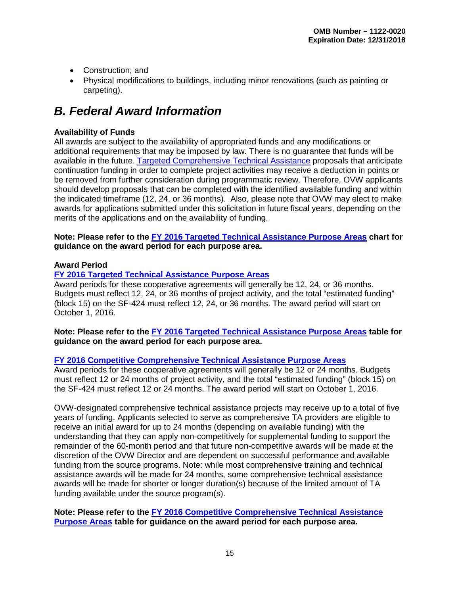- Construction; and
- Physical modifications to buildings, including minor renovations (such as painting or carpeting).

# <span id="page-19-0"></span>*B. Federal Award Information*

#### <span id="page-19-1"></span>**Availability of Funds**

All awards are subject to the availability of appropriated funds and any modifications or additional requirements that may be imposed by law. There is no guarantee that funds will be available in the future. Targeted [Comprehensive Technical Assistance](#page-7-0) proposals that anticipate continuation funding in order to complete project activities may receive a deduction in points or be removed from further consideration during programmatic review. Therefore, OVW applicants should develop proposals that can be completed with the identified available funding and within the indicated timeframe (12, 24, or 36 months). Also, please note that OVW may elect to make awards for applications submitted under this solicitation in future fiscal years, depending on the merits of the applications and on the availability of funding.

#### **Note: Please refer to the [FY 2016 Targeted Technical Assistance Purpose Areas](#page-7-0) chart for guidance on the award period for each purpose area.**

#### <span id="page-19-2"></span>**Award Period**

#### **[FY 2016 Targeted Technical Assistance Purpose Areas](#page-7-0)**

Award periods for these cooperative agreements will generally be 12, 24, or 36 months. Budgets must reflect 12, 24, or 36 months of project activity, and the total "estimated funding" (block 15) on the SF-424 must reflect 12, 24, or 36 months. The award period will start on October 1, 2016.

**Note: Please refer to the [FY 2016 Targeted Technical Assistance Purpose Areas](#page-7-0) table for guidance on the award period for each purpose area.**

#### **FY 2016 Competitive [Comprehensive Technical Assistance Purpose Areas](#page-11-2)**

Award periods for these cooperative agreements will generally be 12 or 24 months. Budgets must reflect 12 or 24 months of project activity, and the total "estimated funding" (block 15) on the SF-424 must reflect 12 or 24 months. The award period will start on October 1, 2016.

OVW-designated comprehensive technical assistance projects may receive up to a total of five years of funding. Applicants selected to serve as comprehensive TA providers are eligible to receive an initial award for up to 24 months (depending on available funding) with the understanding that they can apply non-competitively for supplemental funding to support the remainder of the 60-month period and that future non-competitive awards will be made at the discretion of the OVW Director and are dependent on successful performance and available funding from the source programs. Note: while most comprehensive training and technical assistance awards will be made for 24 months, some comprehensive technical assistance awards will be made for shorter or longer duration(s) because of the limited amount of TA funding available under the source program(s).

**Note: Please refer to the FY 2016 Competitive [Comprehensive Technical Assistance](#page-11-2)  [Purpose Areas](#page-11-2) table for guidance on the award period for each purpose area.**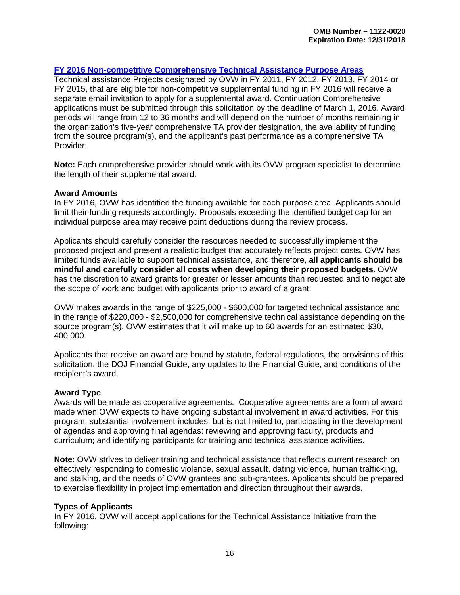#### **[FY 2016 Non-competitive Comprehensive Technical Assistance](#page-16-1) Purpose Areas**

Technical assistance Projects designated by OVW in FY 2011, FY 2012, FY 2013, FY 2014 or FY 2015, that are eligible for non-competitive supplemental funding in FY 2016 will receive a separate email invitation to apply for a supplemental award. Continuation Comprehensive applications must be submitted through this solicitation by the deadline of March 1, 2016. Award periods will range from 12 to 36 months and will depend on the number of months remaining in the organization's five-year comprehensive TA provider designation, the availability of funding from the source program(s), and the applicant's past performance as a comprehensive TA Provider.

**Note:** Each comprehensive provider should work with its OVW program specialist to determine the length of their supplemental award.

#### <span id="page-20-0"></span>**Award Amounts**

In FY 2016, OVW has identified the funding available for each purpose area. Applicants should limit their funding requests accordingly. Proposals exceeding the identified budget cap for an individual purpose area may receive point deductions during the review process.

Applicants should carefully consider the resources needed to successfully implement the proposed project and present a realistic budget that accurately reflects project costs. OVW has limited funds available to support technical assistance, and therefore, **all applicants should be mindful and carefully consider all costs when developing their proposed budgets.** OVW has the discretion to award grants for greater or lesser amounts than requested and to negotiate the scope of work and budget with applicants prior to award of a grant.

OVW makes awards in the range of \$225,000 - \$600,000 for targeted technical assistance and in the range of \$220,000 - \$2,500,000 for comprehensive technical assistance depending on the source program(s). OVW estimates that it will make up to 60 awards for an estimated \$30, 400,000.

Applicants that receive an award are bound by statute, federal regulations, the provisions of this solicitation, the DOJ Financial Guide, any updates to the Financial Guide, and conditions of the recipient's award.

#### **Award Type**

Awards will be made as cooperative agreements. Cooperative agreements are a form of award made when OVW expects to have ongoing substantial involvement in award activities. For this program, substantial involvement includes, but is not limited to, participating in the development of agendas and approving final agendas; reviewing and approving faculty, products and curriculum; and identifying participants for training and technical assistance activities.

**Note**: OVW strives to deliver training and technical assistance that reflects current research on effectively responding to domestic violence, sexual assault, dating violence, human trafficking, and stalking, and the needs of OVW grantees and sub-grantees. Applicants should be prepared to exercise flexibility in project implementation and direction throughout their awards.

#### <span id="page-20-1"></span>**Types of Applicants**

In FY 2016, OVW will accept applications for the Technical Assistance Initiative from the following: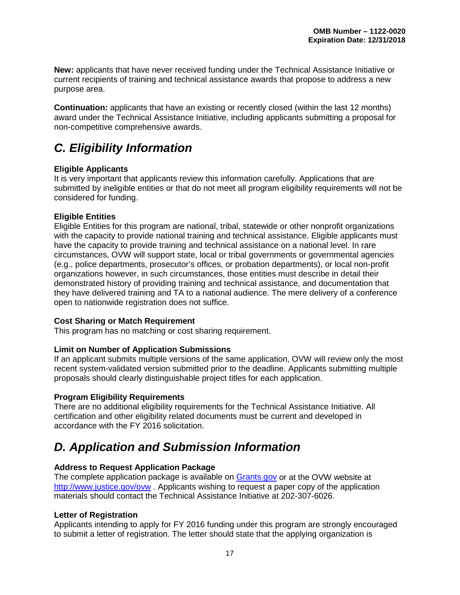**New:** applicants that have never received funding under the Technical Assistance Initiative or current recipients of training and technical assistance awards that propose to address a new purpose area.

**Continuation:** applicants that have an existing or recently closed (within the last 12 months) award under the Technical Assistance Initiative, including applicants submitting a proposal for non-competitive comprehensive awards.

# <span id="page-21-0"></span>*C. Eligibility Information*

#### <span id="page-21-2"></span>**Eligible Applicants**

It is very important that applicants review this information carefully. Applications that are submitted by ineligible entities or that do not meet all program eligibility requirements will not be considered for funding.

#### <span id="page-21-3"></span>**Eligible Entities**

Eligible Entities for this program are national, tribal, statewide or other nonprofit organizations with the capacity to provide national training and technical assistance. Eligible applicants must have the capacity to provide training and technical assistance on a national level. In rare circumstances, OVW will support state, local or tribal governments or governmental agencies (e.g., police departments, prosecutor's offices, or probation departments), or local non-profit organizations however, in such circumstances, those entities must describe in detail their demonstrated history of providing training and technical assistance, and documentation that they have delivered training and TA to a national audience. The mere delivery of a conference open to nationwide registration does not suffice.

#### <span id="page-21-4"></span>**Cost Sharing or Match Requirement**

This program has no matching or cost sharing requirement.

#### <span id="page-21-5"></span>**Limit on Number of Application Submissions**

If an applicant submits multiple versions of the same application, OVW will review only the most recent system-validated version submitted prior to the deadline. Applicants submitting multiple proposals should clearly distinguishable project titles for each application.

#### <span id="page-21-6"></span>**Program Eligibility Requirements**

There are no additional eligibility requirements for the Technical Assistance Initiative. All certification and other eligibility related documents must be current and developed in accordance with the FY 2016 solicitation.

## <span id="page-21-7"></span>*D. Application and Submission Information*

#### <span id="page-21-8"></span>**Address to Request Application Package**

The complete application package is available on [Grants.gov](http://www.grants.gov/) or at the OVW website at <http://www.justice.gov/ovw>. Applicants wishing to request a paper copy of the application materials should contact the Technical Assistance Initiative at 202-307-6026.

#### <span id="page-21-9"></span><span id="page-21-1"></span>**Letter of Registration**

Applicants intending to apply for FY 2016 funding under this program are strongly encouraged to submit a letter of registration. The letter should state that the applying organization is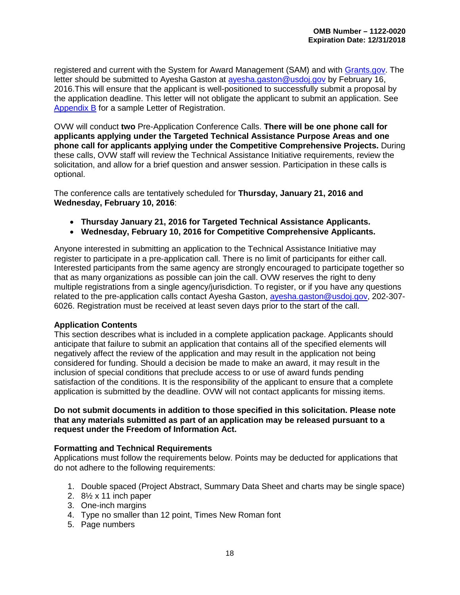registered and current with the System for Award Management (SAM) and with [Grants.gov.](http://www.grants.gov/) The letter should be submitted to Ayesha Gaston at [ayesha.gaston@usdoj.gov](mailto:ayesha.gaston@usdoj.gov) by February 16, 2016.This will ensure that the applicant is well-positioned to successfully submit a proposal by the application deadline. This letter will not obligate the applicant to submit an application. See [Appendix](#page-54-0) B for a sample Letter of Registration.

OVW will conduct **two** Pre-Application Conference Calls. **There will be one phone call for applicants applying under the Targeted Technical Assistance Purpose Areas and one phone call for applicants applying under the Competitive Comprehensive Projects.** During these calls, OVW staff will review the Technical Assistance Initiative requirements, review the solicitation, and allow for a brief question and answer session. Participation in these calls is optional.

The conference calls are tentatively scheduled for **Thursday, January 21, 2016 and Wednesday, February 10, 2016**:

- **Thursday January 21, 2016 for Targeted Technical Assistance Applicants.**
- **Wednesday, February 10, 2016 for Competitive Comprehensive Applicants.**

Anyone interested in submitting an application to the Technical Assistance Initiative may register to participate in a pre-application call. There is no limit of participants for either call. Interested participants from the same agency are strongly encouraged to participate together so that as many organizations as possible can join the call. OVW reserves the right to deny multiple registrations from a single agency/jurisdiction. To register, or if you have any questions related to the pre-application calls contact Ayesha Gaston, [ayesha.gaston@usdoj.gov,](mailto:ayesha.gaston@usdoj.gov) 202-307- 6026. Registration must be received at least seven days prior to the start of the call.

#### <span id="page-22-0"></span>**Application Contents**

This section describes what is included in a complete application package. Applicants should anticipate that failure to submit an application that contains all of the specified elements will negatively affect the review of the application and may result in the application not being considered for funding. Should a decision be made to make an award, it may result in the inclusion of special conditions that preclude access to or use of award funds pending satisfaction of the conditions. It is the responsibility of the applicant to ensure that a complete application is submitted by the deadline. OVW will not contact applicants for missing items.

#### **Do not submit documents in addition to those specified in this solicitation. Please note that any materials submitted as part of an application may be released pursuant to a request under the Freedom of Information Act.**

#### <span id="page-22-1"></span>**Formatting and Technical Requirements**

Applications must follow the requirements below. Points may be deducted for applications that do not adhere to the following requirements:

- 1. Double spaced (Project Abstract, Summary Data Sheet and charts may be single space)
- 2.  $8\frac{1}{2}$  x 11 inch paper
- 3. One-inch margins
- 4. Type no smaller than 12 point, Times New Roman font
- 5. Page numbers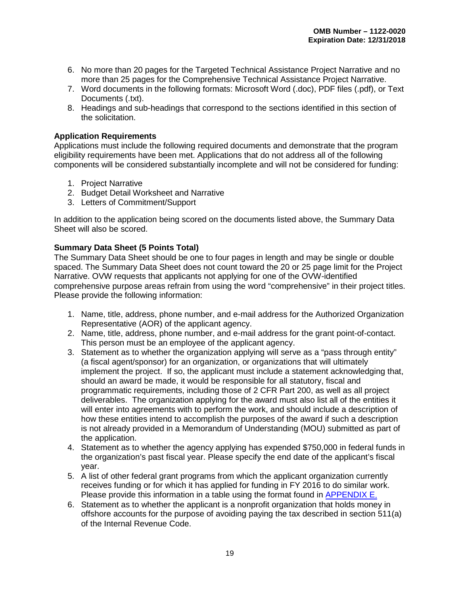- 6. No more than 20 pages for the Targeted Technical Assistance Project Narrative and no more than 25 pages for the Comprehensive Technical Assistance Project Narrative.
- 7. Word documents in the following formats: Microsoft Word (.doc), PDF files (.pdf), or Text Documents (.txt).
- 8. Headings and sub-headings that correspond to the sections identified in this section of the solicitation.

#### <span id="page-23-0"></span>**Application Requirements**

Applications must include the following required documents and demonstrate that the program eligibility requirements have been met. Applications that do not address all of the following components will be considered substantially incomplete and will not be considered for funding:

- 1. Project Narrative
- 2. Budget Detail Worksheet and Narrative
- 3. Letters of Commitment/Support

In addition to the application being scored on the documents listed above, the Summary Data Sheet will also be scored.

#### <span id="page-23-1"></span>**Summary Data Sheet (5 Points Total)**

The Summary Data Sheet should be one to four pages in length and may be single or double spaced. The Summary Data Sheet does not count toward the 20 or 25 page limit for the Project Narrative. OVW requests that applicants not applying for one of the OVW-identified comprehensive purpose areas refrain from using the word "comprehensive" in their project titles. Please provide the following information:

- 1. Name, title, address, phone number, and e-mail address for the Authorized Organization Representative (AOR) of the applicant agency.
- 2. Name, title, address, phone number, and e-mail address for the grant point-of-contact. This person must be an employee of the applicant agency.
- 3. Statement as to whether the organization applying will serve as a "pass through entity" (a fiscal agent/sponsor) for an organization, or organizations that will ultimately implement the project. If so, the applicant must include a statement acknowledging that, should an award be made, it would be responsible for all statutory, fiscal and programmatic requirements, including those of 2 CFR Part 200, as well as all project deliverables. The organization applying for the award must also list all of the entities it will enter into agreements with to perform the work, and should include a description of how these entities intend to accomplish the purposes of the award if such a description is not already provided in a Memorandum of Understanding (MOU) submitted as part of the application.
- 4. Statement as to whether the agency applying has expended \$750,000 in federal funds in the organization's past fiscal year. Please specify the end date of the applicant's fiscal year.
- 5. A list of other federal grant programs from which the applicant organization currently receives funding or for which it has applied for funding in FY 2016 to do similar work. Please provide this information in a table using the format found in [APPENDIX E.](#page-60-0)
- 6. Statement as to whether the applicant is a nonprofit organization that holds money in offshore accounts for the purpose of avoiding paying the tax described in section 511(a) of the Internal Revenue Code.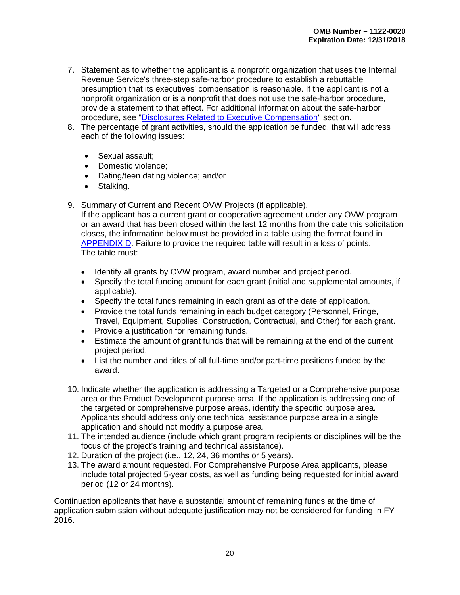- 7. Statement as to whether the applicant is a nonprofit organization that uses the Internal Revenue Service's three-step safe-harbor procedure to establish a rebuttable presumption that its executives' compensation is reasonable. If the applicant is not a nonprofit organization or is a nonprofit that does not use the safe-harbor procedure, provide a statement to that effect. For additional information about the safe-harbor procedure, see ["Disclosures Related to Executive Compensation"](#page-31-1) section.
- 8. The percentage of grant activities, should the application be funded, that will address each of the following issues:
	- Sexual assault:
	- Domestic violence;
	- Dating/teen dating violence; and/or
	- Stalking.
- 9. Summary of Current and Recent OVW Projects (if applicable).

If the applicant has a current grant or cooperative agreement under any OVW program or an award that has been closed within the last 12 months from the date this solicitation closes, the information below must be provided in a table using the format found in [APPENDIX D.](#page-58-0) Failure to provide the required table will result in a loss of points. The table must:

- Identify all grants by OVW program, award number and project period.
- Specify the total funding amount for each grant (initial and supplemental amounts, if applicable).
- Specify the total funds remaining in each grant as of the date of application.
- Provide the total funds remaining in each budget category (Personnel, Fringe, Travel, Equipment, Supplies, Construction, Contractual, and Other) for each grant.
- Provide a justification for remaining funds.
- Estimate the amount of grant funds that will be remaining at the end of the current project period.
- List the number and titles of all full-time and/or part-time positions funded by the award.
- 10. Indicate whether the application is addressing a Targeted or a Comprehensive purpose area or the Product Development purpose area. If the application is addressing one of the targeted or comprehensive purpose areas, identify the specific purpose area. Applicants should address only one technical assistance purpose area in a single application and should not modify a purpose area.
- 11. The intended audience (include which grant program recipients or disciplines will be the focus of the project's training and technical assistance).
- 12. Duration of the project (i.e., 12, 24, 36 months or 5 years).
- 13. The award amount requested. For Comprehensive Purpose Area applicants, please include total projected 5-year costs, as well as funding being requested for initial award period (12 or 24 months).

Continuation applicants that have a substantial amount of remaining funds at the time of application submission without adequate justification may not be considered for funding in FY 2016.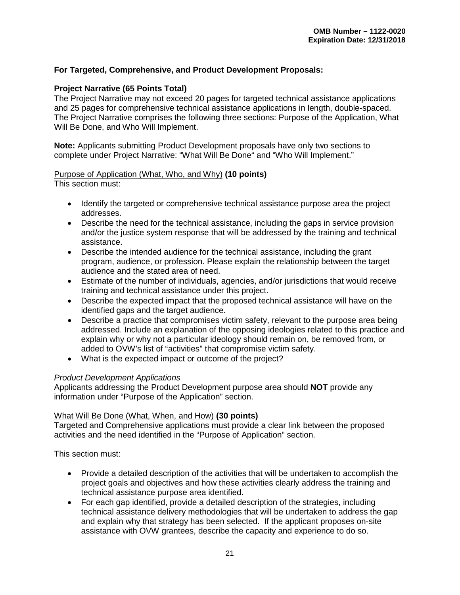#### **For Targeted, Comprehensive, and Product Development Proposals:**

#### <span id="page-25-0"></span>**Project Narrative (65 Points Total)**

The Project Narrative may not exceed 20 pages for targeted technical assistance applications and 25 pages for comprehensive technical assistance applications in length, double-spaced. The Project Narrative comprises the following three sections: Purpose of the Application, What Will Be Done, and Who Will Implement.

**Note:** Applicants submitting Product Development proposals have only two sections to complete under Project Narrative: "What Will Be Done" and "Who Will Implement."

#### Purpose of Application (What, Who, and Why) **(10 points)**

This section must:

- Identify the targeted or comprehensive technical assistance purpose area the project addresses.
- Describe the need for the technical assistance, including the gaps in service provision and/or the justice system response that will be addressed by the training and technical assistance.
- Describe the intended audience for the technical assistance, including the grant program, audience, or profession. Please explain the relationship between the target audience and the stated area of need.
- Estimate of the number of individuals, agencies, and/or jurisdictions that would receive training and technical assistance under this project.
- Describe the expected impact that the proposed technical assistance will have on the identified gaps and the target audience.
- Describe a practice that compromises victim safety, relevant to the purpose area being addressed. Include an explanation of the opposing ideologies related to this practice and explain why or why not a particular ideology should remain on, be removed from, or added to OVW's list of "activities" that compromise victim safety.
- What is the expected impact or outcome of the project?

#### *Product Development Applications*

Applicants addressing the Product Development purpose area should **NOT** provide any information under "Purpose of the Application" section.

#### What Will Be Done (What, When, and How) **(30 points)**

Targeted and Comprehensive applications must provide a clear link between the proposed activities and the need identified in the "Purpose of Application" section.

This section must:

- Provide a detailed description of the activities that will be undertaken to accomplish the project goals and objectives and how these activities clearly address the training and technical assistance purpose area identified.
- For each gap identified, provide a detailed description of the strategies, including technical assistance delivery methodologies that will be undertaken to address the gap and explain why that strategy has been selected. If the applicant proposes on-site assistance with OVW grantees, describe the capacity and experience to do so.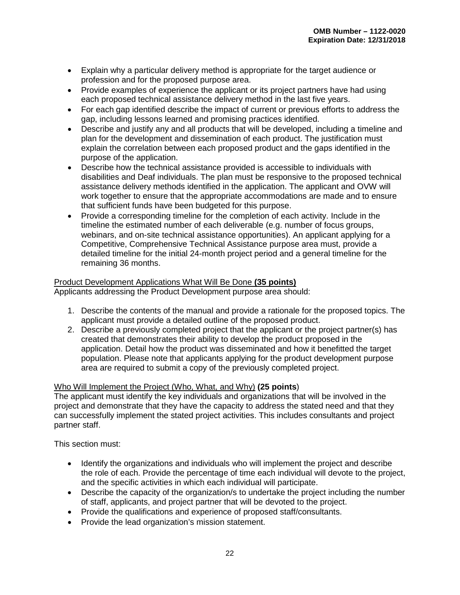- Explain why a particular delivery method is appropriate for the target audience or profession and for the proposed purpose area.
- Provide examples of experience the applicant or its project partners have had using each proposed technical assistance delivery method in the last five years.
- For each gap identified describe the impact of current or previous efforts to address the gap, including lessons learned and promising practices identified.
- Describe and justify any and all products that will be developed, including a timeline and plan for the development and dissemination of each product. The justification must explain the correlation between each proposed product and the gaps identified in the purpose of the application.
- Describe how the technical assistance provided is accessible to individuals with disabilities and Deaf individuals. The plan must be responsive to the proposed technical assistance delivery methods identified in the application. The applicant and OVW will work together to ensure that the appropriate accommodations are made and to ensure that sufficient funds have been budgeted for this purpose.
- Provide a corresponding timeline for the completion of each activity. Include in the timeline the estimated number of each deliverable (e.g. number of focus groups, webinars, and on-site technical assistance opportunities). An applicant applying for a Competitive, Comprehensive Technical Assistance purpose area must, provide a detailed timeline for the initial 24-month project period and a general timeline for the remaining 36 months.

#### Product Development Applications What Will Be Done **(35 points)**

Applicants addressing the Product Development purpose area should:

- 1. Describe the contents of the manual and provide a rationale for the proposed topics. The applicant must provide a detailed outline of the proposed product.
- 2. Describe a previously completed project that the applicant or the project partner(s) has created that demonstrates their ability to develop the product proposed in the application. Detail how the product was disseminated and how it benefitted the target population. Please note that applicants applying for the product development purpose area are required to submit a copy of the previously completed project.

#### Who Will Implement the Project (Who, What, and Why) **(25 points**)

The applicant must identify the key individuals and organizations that will be involved in the project and demonstrate that they have the capacity to address the stated need and that they can successfully implement the stated project activities. This includes consultants and project partner staff.

This section must:

- Identify the organizations and individuals who will implement the project and describe the role of each. Provide the percentage of time each individual will devote to the project, and the specific activities in which each individual will participate.
- Describe the capacity of the organization/s to undertake the project including the number of staff, applicants, and project partner that will be devoted to the project.
- Provide the qualifications and experience of proposed staff/consultants.
- Provide the lead organization's mission statement.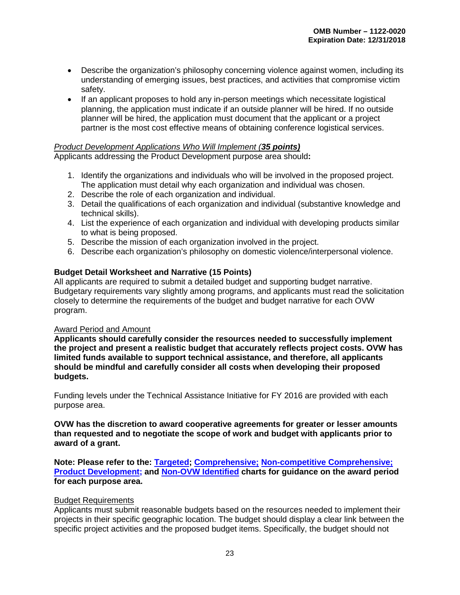- Describe the organization's philosophy concerning violence against women, including its understanding of emerging issues, best practices, and activities that compromise victim safety.
- If an applicant proposes to hold any in-person meetings which necessitate logistical planning, the application must indicate if an outside planner will be hired. If no outside planner will be hired, the application must document that the applicant or a project partner is the most cost effective means of obtaining conference logistical services.

#### *Product Development Applications Who Will Implement (35 points)*

Applicants addressing the Product Development purpose area should**:**

- 1. Identify the organizations and individuals who will be involved in the proposed project. The application must detail why each organization and individual was chosen.
- 2. Describe the role of each organization and individual.
- 3. Detail the qualifications of each organization and individual (substantive knowledge and technical skills).
- 4. List the experience of each organization and individual with developing products similar to what is being proposed.
- 5. Describe the mission of each organization involved in the project.
- 6. Describe each organization's philosophy on domestic violence/interpersonal violence.

#### <span id="page-27-0"></span>**Budget Detail Worksheet and Narrative (15 Points)**

All applicants are required to submit a detailed budget and supporting budget narrative. Budgetary requirements vary slightly among programs, and applicants must read the solicitation closely to determine the requirements of the budget and budget narrative for each OVW program.

#### Award Period and Amount

**Applicants should carefully consider the resources needed to successfully implement the project and present a realistic budget that accurately reflects project costs. OVW has limited funds available to support technical assistance, and therefore, all applicants should be mindful and carefully consider all costs when developing their proposed budgets.** 

Funding levels under the Technical Assistance Initiative for FY 2016 are provided with each purpose area.

**OVW has the discretion to award cooperative agreements for greater or lesser amounts than requested and to negotiate the scope of work and budget with applicants prior to award of a grant.**

**Note: Please refer to the: [Targeted;](#page-7-0) [Comprehensive;](#page-11-2) [Non-competitive Comprehensive;](#page-16-1) [Product Development;](#page-17-3) and [Non-OVW Identified](#page-17-2) charts for guidance on the award period for each purpose area.**

#### Budget Requirements

Applicants must submit reasonable budgets based on the resources needed to implement their projects in their specific geographic location. The budget should display a clear link between the specific project activities and the proposed budget items. Specifically, the budget should not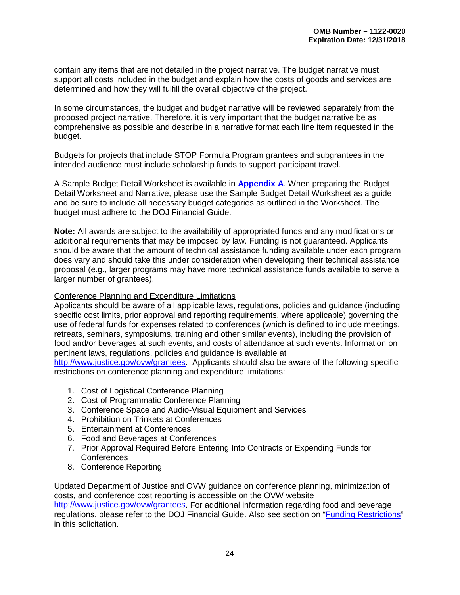contain any items that are not detailed in the project narrative. The budget narrative must support all costs included in the budget and explain how the costs of goods and services are determined and how they will fulfill the overall objective of the project.

In some circumstances, the budget and budget narrative will be reviewed separately from the proposed project narrative. Therefore, it is very important that the budget narrative be as comprehensive as possible and describe in a narrative format each line item requested in the budget.

Budgets for projects that include STOP Formula Program grantees and subgrantees in the intended audience must include scholarship funds to support participant travel.

A Sample Budget Detail Worksheet is available in **[Appendix](#page-43-2) A**. When preparing the Budget Detail Worksheet and Narrative, please use the Sample Budget Detail Worksheet as a guide and be sure to include all necessary budget categories as outlined in the Worksheet. The budget must adhere to the DOJ Financial Guide.

**Note:** All awards are subject to the availability of appropriated funds and any modifications or additional requirements that may be imposed by law. Funding is not guaranteed. Applicants should be aware that the amount of technical assistance funding available under each program does vary and should take this under consideration when developing their technical assistance proposal (e.g., larger programs may have more technical assistance funds available to serve a larger number of grantees).

#### Conference Planning and Expenditure Limitations

Applicants should be aware of all applicable laws, regulations, policies and guidance (including specific cost limits, prior approval and reporting requirements, where applicable) governing the use of federal funds for expenses related to conferences (which is defined to include meetings, retreats, seminars, symposiums, training and other similar events), including the provision of food and/or beverages at such events, and costs of attendance at such events. Information on pertinent laws, regulations, policies and guidance is available at

[http://www.justice.gov/ovw/grantees.](http://www.justice.gov/ovw/grantees) Applicants should also be aware of the following specific restrictions on conference planning and expenditure limitations:

- 1. Cost of Logistical Conference Planning
- 2. Cost of Programmatic Conference Planning
- 3. Conference Space and Audio-Visual Equipment and Services
- 4. Prohibition on Trinkets at Conferences
- 5. Entertainment at Conferences
- 6. Food and Beverages at Conferences
- 7. Prior Approval Required Before Entering Into Contracts or Expending Funds for **Conferences**
- 8. Conference Reporting

Updated Department of Justice and OVW guidance on conference planning, minimization of costs, and conference cost reporting is accessible on the OVW website <http://www.justice.gov/ovw/grantees>**.** For additional information regarding food and beverage regulations, please refer to the DOJ Financial Guide. Also see section on ["Funding Restrictions"](#page-36-1) in this solicitation.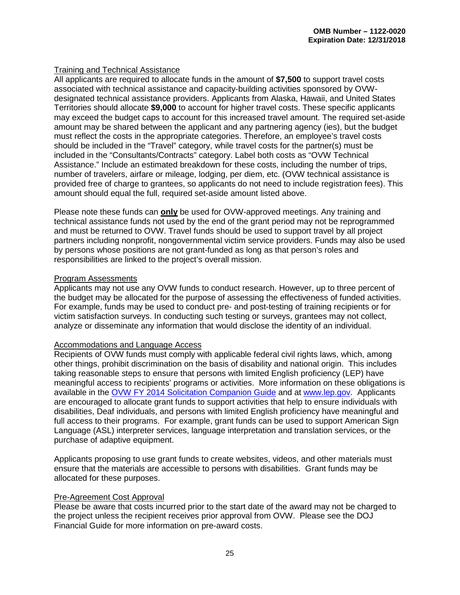#### Training and Technical Assistance

All applicants are required to allocate funds in the amount of **\$7,500** to support travel costs associated with technical assistance and capacity-building activities sponsored by OVWdesignated technical assistance providers. Applicants from Alaska, Hawaii, and United States Territories should allocate **\$9,000** to account for higher travel costs. These specific applicants may exceed the budget caps to account for this increased travel amount. The required set-aside amount may be shared between the applicant and any partnering agency (ies), but the budget must reflect the costs in the appropriate categories. Therefore, an employee's travel costs should be included in the "Travel" category, while travel costs for the partner(s) must be included in the "Consultants/Contracts" category. Label both costs as "OVW Technical Assistance." Include an estimated breakdown for these costs, including the number of trips, number of travelers, airfare or mileage, lodging, per diem, etc. (OVW technical assistance is provided free of charge to grantees, so applicants do not need to include registration fees). This amount should equal the full, required set-aside amount listed above.

Please note these funds can **only** be used for OVW-approved meetings. Any training and technical assistance funds not used by the end of the grant period may not be reprogrammed and must be returned to OVW. Travel funds should be used to support travel by all project partners including nonprofit, nongovernmental victim service providers. Funds may also be used by persons whose positions are not grant-funded as long as that person's roles and responsibilities are linked to the project's overall mission.

#### Program Assessments

Applicants may not use any OVW funds to conduct research. However, up to three percent of the budget may be allocated for the purpose of assessing the effectiveness of funded activities. For example, funds may be used to conduct pre- and post-testing of training recipients or for victim satisfaction surveys. In conducting such testing or surveys, grantees may not collect, analyze or disseminate any information that would disclose the identity of an individual.

#### Accommodations and Language Access

Recipients of OVW funds must comply with applicable federal civil rights laws, which, among other things, prohibit discrimination on the basis of disability and national origin. This includes taking reasonable steps to ensure that persons with limited English proficiency (LEP) have meaningful access to recipients' programs or activities. More information on these obligations is available in the [OVW FY 2014 Solicitation Companion Guide](http://www.justice.gov/sites/default/files/ovw/legacy/2013/12/16/companion-guide-fy2014.pdf) and at [www.lep.gov.](http://www.lep.gov/) Applicants are encouraged to allocate grant funds to support activities that help to ensure individuals with disabilities, Deaf individuals, and persons with limited English proficiency have meaningful and full access to their programs. For example, grant funds can be used to support American Sign Language (ASL) interpreter services, language interpretation and translation services, or the purchase of adaptive equipment.

Applicants proposing to use grant funds to create websites, videos, and other materials must ensure that the materials are accessible to persons with disabilities. Grant funds may be allocated for these purposes.

#### Pre-Agreement Cost Approval

Please be aware that costs incurred prior to the start date of the award may not be charged to the project unless the recipient receives prior approval from OVW. Please see the DOJ Financial Guide for more information on pre-award costs.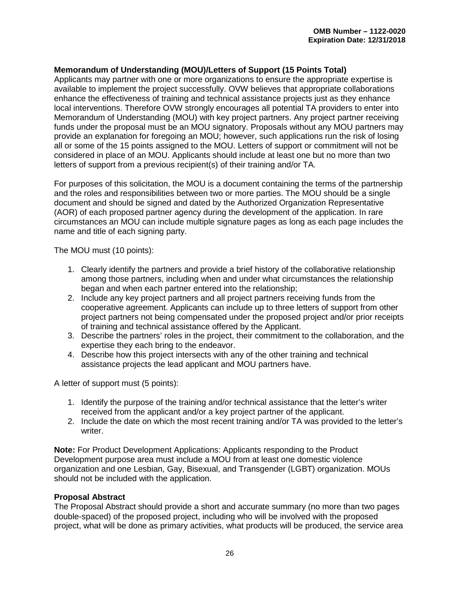#### <span id="page-30-0"></span>**Memorandum of Understanding (MOU)/Letters of Support (15 Points Total)**

Applicants may partner with one or more organizations to ensure the appropriate expertise is available to implement the project successfully. OVW believes that appropriate collaborations enhance the effectiveness of training and technical assistance projects just as they enhance local interventions. Therefore OVW strongly encourages all potential TA providers to enter into Memorandum of Understanding (MOU) with key project partners. Any project partner receiving funds under the proposal must be an MOU signatory. Proposals without any MOU partners may provide an explanation for foregoing an MOU; however, such applications run the risk of losing all or some of the 15 points assigned to the MOU. Letters of support or commitment will not be considered in place of an MOU. Applicants should include at least one but no more than two letters of support from a previous recipient(s) of their training and/or TA.

For purposes of this solicitation, the MOU is a document containing the terms of the partnership and the roles and responsibilities between two or more parties. The MOU should be a single document and should be signed and dated by the Authorized Organization Representative (AOR) of each proposed partner agency during the development of the application. In rare circumstances an MOU can include multiple signature pages as long as each page includes the name and title of each signing party.

The MOU must (10 points):

- 1. Clearly identify the partners and provide a brief history of the collaborative relationship among those partners, including when and under what circumstances the relationship began and when each partner entered into the relationship;
- 2. Include any key project partners and all project partners receiving funds from the cooperative agreement. Applicants can include up to three letters of support from other project partners not being compensated under the proposed project and/or prior receipts of training and technical assistance offered by the Applicant.
- 3. Describe the partners' roles in the project, their commitment to the collaboration, and the expertise they each bring to the endeavor.
- 4. Describe how this project intersects with any of the other training and technical assistance projects the lead applicant and MOU partners have.

A letter of support must (5 points):

- 1. Identify the purpose of the training and/or technical assistance that the letter's writer received from the applicant and/or a key project partner of the applicant.
- 2. Include the date on which the most recent training and/or TA was provided to the letter's writer.

**Note:** For Product Development Applications: Applicants responding to the Product Development purpose area must include a MOU from at least one domestic violence organization and one Lesbian, Gay, Bisexual, and Transgender (LGBT) organization. MOUs should not be included with the application.

#### <span id="page-30-1"></span>**Proposal Abstract**

The Proposal Abstract should provide a short and accurate summary (no more than two pages double-spaced) of the proposed project, including who will be involved with the proposed project, what will be done as primary activities, what products will be produced, the service area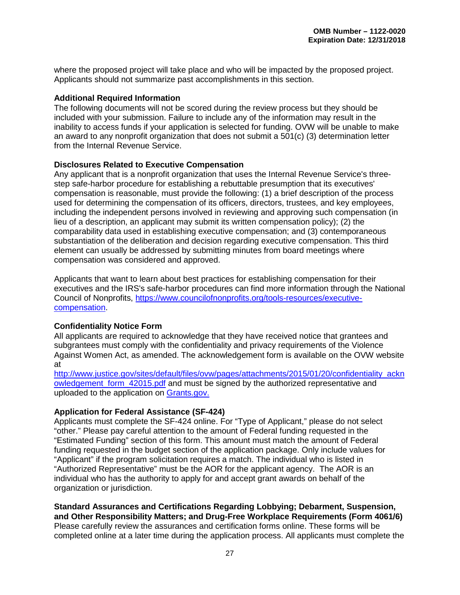where the proposed project will take place and who will be impacted by the proposed project. Applicants should not summarize past accomplishments in this section.

#### <span id="page-31-0"></span>**Additional Required Information**

The following documents will not be scored during the review process but they should be included with your submission. Failure to include any of the information may result in the inability to access funds if your application is selected for funding. OVW will be unable to make an award to any nonprofit organization that does not submit a 501(c) (3) determination letter from the Internal Revenue Service.

#### <span id="page-31-1"></span>**Disclosures Related to Executive Compensation**

Any applicant that is a nonprofit organization that uses the Internal Revenue Service's threestep safe-harbor procedure for establishing a rebuttable presumption that its executives' compensation is reasonable, must provide the following: (1) a brief description of the process used for determining the compensation of its officers, directors, trustees, and key employees, including the independent persons involved in reviewing and approving such compensation (in lieu of a description, an applicant may submit its written compensation policy); (2) the comparability data used in establishing executive compensation; and (3) contemporaneous substantiation of the deliberation and decision regarding executive compensation. This third element can usually be addressed by submitting minutes from board meetings where compensation was considered and approved.

Applicants that want to learn about best practices for establishing compensation for their executives and the IRS's safe-harbor procedures can find more information through the National Council of Nonprofits, [https://www.councilofnonprofits.org/tools-resources/executive](https://www.councilofnonprofits.org/tools-resources/executive-compensation)[compensation.](https://www.councilofnonprofits.org/tools-resources/executive-compensation)

#### <span id="page-31-2"></span>**Confidentiality Notice Form**

All applicants are required to acknowledge that they have received notice that grantees and subgrantees must comply with the confidentiality and privacy requirements of the Violence Against Women Act, as amended. The acknowledgement form is available on the OVW website at

[http://www.justice.gov/sites/default/files/ovw/pages/attachments/2015/01/20/confidentiality\\_ackn](http://www.justice.gov/sites/default/files/ovw/pages/attachments/2015/01/20/confidentiality_acknowledgement_form_42015.pdf) [owledgement\\_form\\_42015.pdf](http://www.justice.gov/sites/default/files/ovw/pages/attachments/2015/01/20/confidentiality_acknowledgement_form_42015.pdf) and must be signed by the authorized representative and uploaded to the application on [Grants.gov.](http://www.grants.gov/)

#### <span id="page-31-3"></span>**Application for Federal Assistance (SF-424)**

Applicants must complete the SF-424 online. For "Type of Applicant," please do not select "other." Please pay careful attention to the amount of Federal funding requested in the "Estimated Funding" section of this form. This amount must match the amount of Federal funding requested in the budget section of the application package. Only include values for "Applicant" if the program solicitation requires a match. The individual who is listed in "Authorized Representative" must be the AOR for the applicant agency. The AOR is an individual who has the authority to apply for and accept grant awards on behalf of the organization or jurisdiction.

#### <span id="page-31-4"></span>**Standard Assurances and Certifications Regarding Lobbying; Debarment, Suspension, and Other Responsibility Matters; and Drug-Free Workplace Requirements (Form 4061/6)**

Please carefully review the assurances and certification forms online. These forms will be completed online at a later time during the application process. All applicants must complete the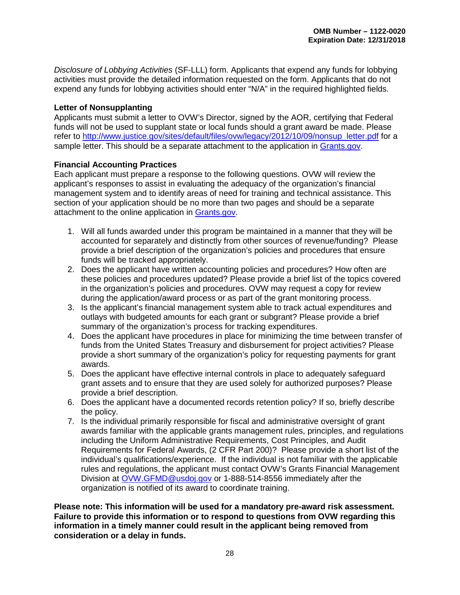*Disclosure of Lobbying Activities* (SF-LLL) form. Applicants that expend any funds for lobbying activities must provide the detailed information requested on the form. Applicants that do not expend any funds for lobbying activities should enter "N/A" in the required highlighted fields.

#### <span id="page-32-0"></span>**Letter of Nonsupplanting**

Applicants must submit a letter to OVW's Director, signed by the AOR, certifying that Federal funds will not be used to supplant state or local funds should a grant award be made. Please refer to [http://www.justice.gov/sites/default/files/ovw/legacy/2012/10/09/nonsup\\_letter.pdf](http://www.justice.gov/sites/default/files/ovw/legacy/2012/10/09/nonsup_letter.pdf) for a sample letter. This should be a separate attachment to the application in [Grants.gov.](http://www.grants.gov/)

#### <span id="page-32-1"></span>**Financial Accounting Practices**

Each applicant must prepare a response to the following questions. OVW will review the applicant's responses to assist in evaluating the adequacy of the organization's financial management system and to identify areas of need for training and technical assistance. This section of your application should be no more than two pages and should be a separate attachment to the online application in [Grants.gov.](http://www.grants.gov/)

- 1. Will all funds awarded under this program be maintained in a manner that they will be accounted for separately and distinctly from other sources of revenue/funding? Please provide a brief description of the organization's policies and procedures that ensure funds will be tracked appropriately.
- 2. Does the applicant have written accounting policies and procedures? How often are these policies and procedures updated? Please provide a brief list of the topics covered in the organization's policies and procedures. OVW may request a copy for review during the application/award process or as part of the grant monitoring process.
- 3. Is the applicant's financial management system able to track actual expenditures and outlays with budgeted amounts for each grant or subgrant? Please provide a brief summary of the organization's process for tracking expenditures.
- 4. Does the applicant have procedures in place for minimizing the time between transfer of funds from the United States Treasury and disbursement for project activities? Please provide a short summary of the organization's policy for requesting payments for grant awards.
- 5. Does the applicant have effective internal controls in place to adequately safeguard grant assets and to ensure that they are used solely for authorized purposes? Please provide a brief description.
- 6. Does the applicant have a documented records retention policy? If so, briefly describe the policy.
- 7. Is the individual primarily responsible for fiscal and administrative oversight of grant awards familiar with the applicable grants management rules, principles, and regulations including the Uniform Administrative Requirements, Cost Principles, and Audit Requirements for Federal Awards, (2 CFR Part 200)? Please provide a short list of the individual's qualifications/experience. If the individual is not familiar with the applicable rules and regulations, the applicant must contact OVW's Grants Financial Management Division at [OVW.GFMD@usdoj.gov](mailto:OVW.GFMD@usdoj.gov) or 1-888-514-8556 immediately after the organization is notified of its award to coordinate training.

**Please note: This information will be used for a mandatory pre-award risk assessment. Failure to provide this information or to respond to questions from OVW regarding this information in a timely manner could result in the applicant being removed from consideration or a delay in funds.**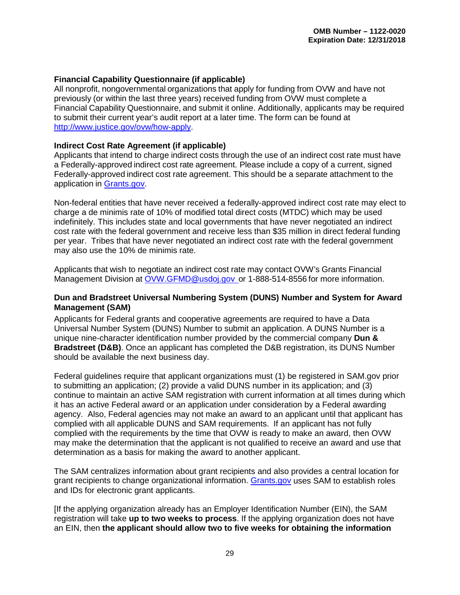#### <span id="page-33-1"></span>**Financial Capability Questionnaire (if applicable)**

All nonprofit, nongovernmental organizations that apply for funding from OVW and have not previously (or within the last three years) received funding from OVW must complete a Financial Capability Questionnaire, and submit it online. Additionally, applicants may be required to submit their current year's audit report at a later time. The form can be found at [http://www.justice.gov/ovw/how-apply.](http://www.justice.gov/ovw/how-apply)

#### <span id="page-33-2"></span>**Indirect Cost Rate Agreement (if applicable)**

Applicants that intend to charge indirect costs through the use of an indirect cost rate must have a Federally-approved indirect cost rate agreement. Please include a copy of a current, signed Federally-approved indirect cost rate agreement. This should be a separate attachment to the application in [Grants.gov.](http://www.grants.gov/)

Non-federal entities that have never received a federally-approved indirect cost rate may elect to charge a de minimis rate of 10% of modified total direct costs (MTDC) which may be used indefinitely. This includes state and local governments that have never negotiated an indirect cost rate with the federal government and receive less than \$35 million in direct federal funding per year. Tribes that have never negotiated an indirect cost rate with the federal government may also use the 10% de minimis rate.

Applicants that wish to negotiate an indirect cost rate may contact OVW's Grants Financial Management Division at [OVW.GFMD@usdoj.gov o](mailto:OVW.GFMD@usdoj.gov)r 1-888-514-8556 for more information.

#### <span id="page-33-3"></span>**Dun and Bradstreet Universal Numbering System (DUNS) Number and System for Award Management (SAM)**

Applicants for Federal grants and cooperative agreements are required to have a Data Universal Number System (DUNS) Number to submit an application. A DUNS Number is a unique nine-character identification number provided by the commercial company **Dun & Bradstreet (D&B)**. Once an applicant has completed the D&B registration, its DUNS Number should be available the next business day.

Federal guidelines require that applicant organizations must (1) be registered in SAM.gov prior to submitting an application; (2) provide a valid DUNS number in its application; and (3) continue to maintain an active SAM registration with current information at all times during which it has an active Federal award or an application under consideration by a Federal awarding agency. Also, Federal agencies may not make an award to an applicant until that applicant has complied with all applicable DUNS and SAM requirements. If an applicant has not fully complied with the requirements by the time that OVW is ready to make an award, then OVW may make the determination that the applicant is not qualified to receive an award and use that determination as a basis for making the award to another applicant.

<span id="page-33-0"></span>The SAM centralizes information about grant recipients and also provides a central location for grant recipients to change organizational information. [Grants.gov](http://www.grants.gov/) uses SAM to establish roles and IDs for electronic grant applicants.

[If the applying organization already has an Employer Identification Number (EIN), the SAM registration will take **up to two weeks to process**. If the applying organization does not have an EIN, then **the applicant should allow two to five weeks for obtaining the information**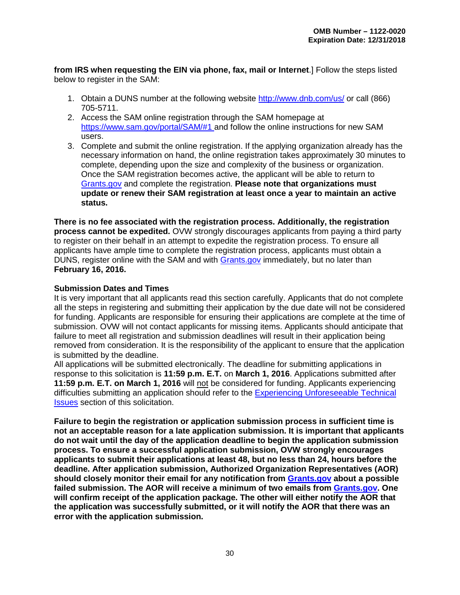**from IRS when requesting the EIN via phone, fax, mail or Internet**.] Follow the steps listed below to register in the SAM:

- 1. Obtain a DUNS number at the following website<http://www.dnb.com/us/> or call (866) 705-5711.
- 2. Access the SAM online registration through the SAM homepage at [https://www.sam.gov/portal/SAM/#1](https://www.sam.gov/portal/SAM/%231) and follow the online instructions for new SAM users.
- 3. Complete and submit the online registration. If the applying organization already has the necessary information on hand, the online registration takes approximately 30 minutes to complete, depending upon the size and complexity of the business or organization. Once the SAM registration becomes active, the applicant will be able to return to [Grants.gov](http://www.grants.gov/) and complete the registration. **Please note that organizations must update or renew their SAM registration at least once a year to maintain an active status.**

**There is no fee associated with the registration process. Additionally, the registration process cannot be expedited.** OVW strongly discourages applicants from paying a third party to register on their behalf in an attempt to expedite the registration process. To ensure all applicants have ample time to complete the registration process, applicants must obtain a DUNS, register online with the SAM and with [Grants.gov](http://www.grants.gov/) immediately, but no later than **February 16, 2016.**

#### <span id="page-34-0"></span>**Submission Dates and Times**

It is very important that all applicants read this section carefully. Applicants that do not complete all the steps in registering and submitting their application by the due date will not be considered for funding. Applicants are responsible for ensuring their applications are complete at the time of submission. OVW will not contact applicants for missing items. Applicants should anticipate that failure to meet all registration and submission deadlines will result in their application being removed from consideration. It is the responsibility of the applicant to ensure that the application is submitted by the deadline.

All applications will be submitted electronically. The deadline for submitting applications in response to this solicitation is **11:59 p.m. E.T.** on **March 1, 2016**. Applications submitted after **11:59 p.m. E.T. on March 1, 2016** will not be considered for funding. Applicants experiencing difficulties submitting an application should refer to the [Experiencing Unforeseeable](#page-35-1) Technical [Issues](#page-35-1) section of this solicitation.

**Failure to begin the registration or application submission process in sufficient time is not an acceptable reason for a late application submission. It is important that applicants do not wait until the day of the application deadline to begin the application submission process. To ensure a successful application submission, OVW strongly encourages applicants to submit their applications at least 48, but no less than 24, hours before the deadline. After application submission, Authorized Organization Representatives (AOR) should closely monitor their email for any notification from [Grants.gov](http://www.grants.gov/) about a possible failed submission. The AOR will receive a minimum of two emails from [Grants.gov.](http://www.grants.gov/) One will confirm receipt of the application package. The other will either notify the AOR that the application was successfully submitted, or it will notify the AOR that there was an error with the application submission.**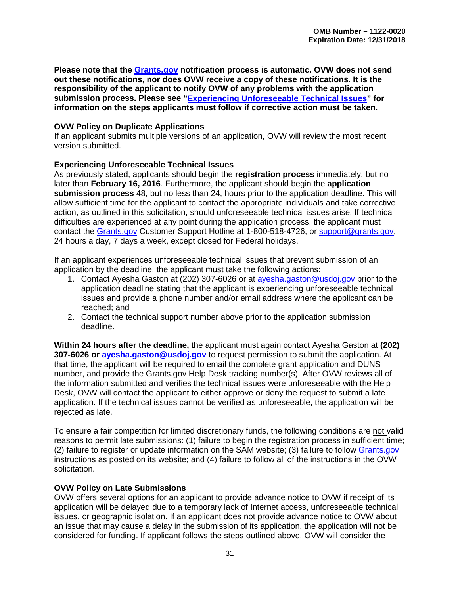**Please note that the [Grants.gov](http://www.grants.gov/) notification process is automatic. OVW does not send out these notifications, nor does OVW receive a copy of these notifications. It is the responsibility of the applicant to notify OVW of any problems with the application submission process. Please see ["Experiencing Unforeseeable](#page-35-1) Technical Issues" for information on the steps applicants must follow if corrective action must be taken.** 

#### <span id="page-35-0"></span>**OVW Policy on Duplicate Applications**

If an applicant submits multiple versions of an application, OVW will review the most recent version submitted.

#### <span id="page-35-1"></span>**Experiencing Unforeseeable Technical Issues**

As previously stated, applicants should begin the **registration process** immediately, but no later than **February 16, 2016**. Furthermore, the applicant should begin the **application submission process** 48, but no less than 24, hours prior to the application deadline. This will allow sufficient time for the applicant to contact the appropriate individuals and take corrective action, as outlined in this solicitation, should unforeseeable technical issues arise. If technical difficulties are experienced at any point during the application process, the applicant must contact the [Grants.gov](http://www.grants.gov/) Customer Support Hotline at 1-800-518-4726, or [support@grants.gov,](mailto:support@grants.gov) 24 hours a day, 7 days a week, except closed for Federal holidays.

If an applicant experiences unforeseeable technical issues that prevent submission of an application by the deadline, the applicant must take the following actions:

- 1. Contact Ayesha Gaston at (202) 307-6026 or at [ayesha.gaston@usdoj.gov](mailto:ayesha.gaston@usdoj.gov) prior to the application deadline stating that the applicant is experiencing unforeseeable technical issues and provide a phone number and/or email address where the applicant can be reached; and
- 2. Contact the technical support number above prior to the application submission deadline.

**Within 24 hours after the deadline,** the applicant must again contact Ayesha Gaston at **(202) 307-6026 or [ayesha.gaston@usdoj.gov](mailto:ayesha.gaston@usdoj.gov)** to request permission to submit the application. At that time, the applicant will be required to email the complete grant application and DUNS number, and provide the Grants.gov Help Desk tracking number(s). After OVW reviews all of the information submitted and verifies the technical issues were unforeseeable with the Help Desk, OVW will contact the applicant to either approve or deny the request to submit a late application. If the technical issues cannot be verified as unforeseeable, the application will be rejected as late.

To ensure a fair competition for limited discretionary funds, the following conditions are not valid reasons to permit late submissions: (1) failure to begin the registration process in sufficient time; (2) failure to register or update information on the SAM website; (3) failure to follow [Grants.gov](http://www.grants.gov/) instructions as posted on its website; and (4) failure to follow all of the instructions in the OVW solicitation.

#### <span id="page-35-2"></span>**OVW Policy on Late Submissions**

OVW offers several options for an applicant to provide advance notice to OVW if receipt of its application will be delayed due to a temporary lack of Internet access, unforeseeable technical issues, or geographic isolation. If an applicant does not provide advance notice to OVW about an issue that may cause a delay in the submission of its application, the application will not be considered for funding. If applicant follows the steps outlined above, OVW will consider the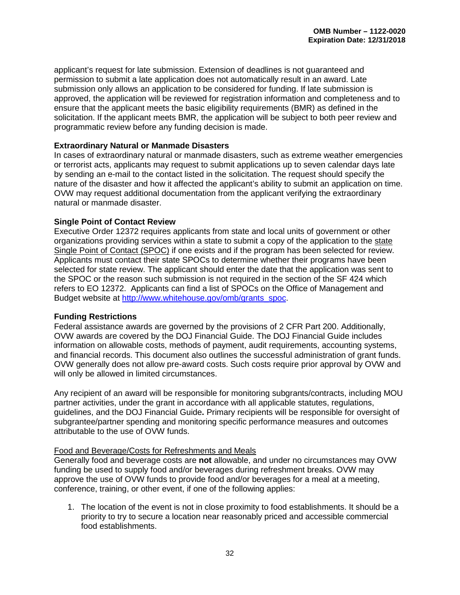applicant's request for late submission. Extension of deadlines is not guaranteed and permission to submit a late application does not automatically result in an award. Late submission only allows an application to be considered for funding. If late submission is approved, the application will be reviewed for registration information and completeness and to ensure that the applicant meets the basic eligibility requirements (BMR) as defined in the solicitation. If the applicant meets BMR, the application will be subject to both peer review and programmatic review before any funding decision is made.

#### **Extraordinary Natural or Manmade Disasters**

In cases of extraordinary natural or manmade disasters, such as extreme weather emergencies or terrorist acts, applicants may request to submit applications up to seven calendar days late by sending an e-mail to the contact listed in the solicitation. The request should specify the nature of the disaster and how it affected the applicant's ability to submit an application on time. OVW may request additional documentation from the applicant verifying the extraordinary natural or manmade disaster.

#### <span id="page-36-0"></span>**Single Point of Contact Review**

Executive Order 12372 requires applicants from state and local units of government or other organizations providing services within a state to submit a copy of the application to the [state](http://www.whitehouse.gov/omb/grants_spoc/)  [Single Point of Contact \(SPOC\)](http://www.whitehouse.gov/omb/grants_spoc/) if one exists and if the program has been selected for review. Applicants must contact their state SPOCs to determine whether their programs have been selected for state review. The applicant should enter the date that the application was sent to the SPOC or the reason such submission is not required in the section of the SF 424 which refers to EO 12372. Applicants can find a list of SPOCs on the Office of Management and Budget website at [http://www.whitehouse.gov/omb/grants\\_spoc.](http://www.whitehouse.gov/omb/grants_spoc)

#### <span id="page-36-1"></span>**Funding Restrictions**

Federal assistance awards are governed by the provisions of 2 CFR Part 200. Additionally, OVW awards are covered by the DOJ Financial Guide. The DOJ Financial Guide includes information on allowable costs, methods of payment, audit requirements, accounting systems, and financial records. This document also outlines the successful administration of grant funds. OVW generally does not allow pre-award costs. Such costs require prior approval by OVW and will only be allowed in limited circumstances.

Any recipient of an award will be responsible for monitoring subgrants/contracts, including MOU partner activities, under the grant in accordance with all applicable statutes, regulations, guidelines, and the DOJ Financial Guide**.** Primary recipients will be responsible for oversight of subgrantee/partner spending and monitoring specific performance measures and outcomes attributable to the use of OVW funds.

#### Food and Beverage/Costs for Refreshments and Meals

Generally food and beverage costs are **not** allowable, and under no circumstances may OVW funding be used to supply food and/or beverages during refreshment breaks. OVW may approve the use of OVW funds to provide food and/or beverages for a meal at a meeting, conference, training, or other event, if one of the following applies:

1. The location of the event is not in close proximity to food establishments. It should be a priority to try to secure a location near reasonably priced and accessible commercial food establishments.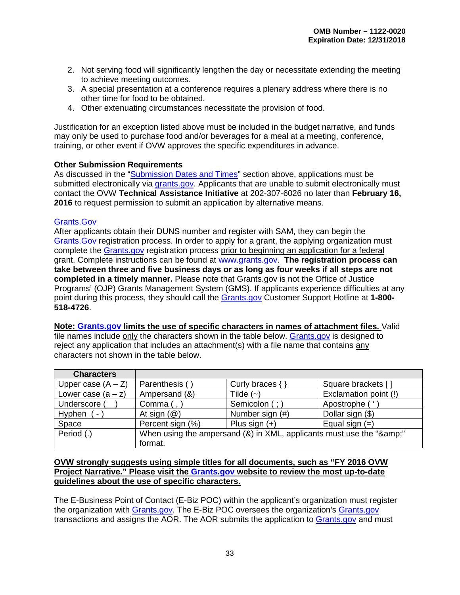- 2. Not serving food will significantly lengthen the day or necessitate extending the meeting to achieve meeting outcomes.
- 3. A special presentation at a conference requires a plenary address where there is no other time for food to be obtained.
- 4. Other extenuating circumstances necessitate the provision of food.

Justification for an exception listed above must be included in the budget narrative, and funds may only be used to purchase food and/or beverages for a meal at a meeting, conference, training, or other event if OVW approves the specific expenditures in advance.

#### <span id="page-37-0"></span>**Other Submission Requirements**

As discussed in the ["Submission Dates and Times"](#page-34-0) section above, applications must be submitted electronically via [grants.gov.](http://www.grants.gov/) Applicants that are unable to submit electronically must contact the OVW **Technical Assistance Initiative** at 202-307-6026 no later than **February 16, 2016** to request permission to submit an application by alternative means.

#### [Grants.Gov](http://www.grants.gov/)

After applicants obtain their DUNS number and register with SAM, they can begin the [Grants.Gov](http://www.grants.gov/) registration process. In order to apply for a grant, the applying organization must complete the [Grants.gov](http://www.grants.gov/) registration process prior to beginning an application for a federal grant. Complete instructions can be found at [www.grants.gov.](http://www.grants.gov/) **The registration process can take between three and five business days or as long as four weeks if all steps are not completed in a timely manner.** Please note that Grants.gov is not the Office of Justice Programs' (OJP) Grants Management System (GMS). If applicants experience difficulties at any point during this process, they should call the [Grants.gov](http://www.grants.gov/) Customer Support Hotline at **1-800- 518-4726**.

**Note: [Grants.gov](http://www.grants.gov/) limits the use of specific characters in names of attachment files.** Valid file names include only the characters shown in the table below. [Grants.gov](http://www.grants.gov/) is designed to reject any application that includes an attachment(s) with a file name that contains any characters not shown in the table below.

| <b>Characters</b>    |                                                                  |                     |                       |
|----------------------|------------------------------------------------------------------|---------------------|-----------------------|
| Upper case $(A - Z)$ | Parenthesis (                                                    | Curly braces $\{\}$ | Square brackets [     |
| Lower case $(a - z)$ | Ampersand (&)                                                    | Tilde $(-)$         | Exclamation point (!) |
| Underscore (         | Comma (,                                                         | Semicolon (;)       | Apostrophe ('         |
| Hyphen<br>-          | At sign $(\mathcal{Q})$                                          | Number sign (#)     | Dollar sign (\$)      |
| Space                | Percent sign (%)                                                 | Plus sign $(+)$     | Equal sign $(=)$      |
| Period (.)           | When using the ampersand (&) in XML, applicants must use the "&" |                     |                       |
|                      | format.                                                          |                     |                       |

#### **OVW strongly suggests using simple titles for all documents, such as "FY 2016 OVW Project Narrative." Please visit the [Grants.gov](http://www.grants.gov/) website to review the most up-to-date guidelines about the use of specific characters.**

The E-Business Point of Contact (E-Biz POC) within the applicant's organization must register the organization with [Grants.gov.](http://www.grants.gov/) The E-Biz POC oversees the organization's [Grants.gov](http://www.grants.gov/) transactions and assigns the AOR. The AOR submits the application to [Grants.gov](http://www.grants.gov/) and must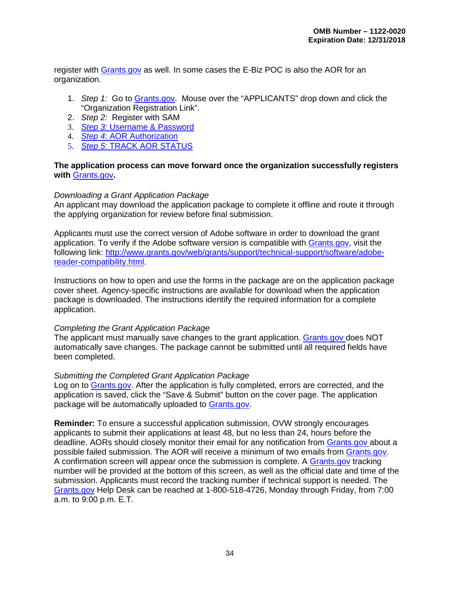register with [Grants.gov](http://www.grants.gov/) as well. In some cases the E-Biz POC is also the AOR for an organization.

- 1. *Step 1:* Go to [Grants.gov.](http://www.grants.gov/) Mouse over the "APPLICANTS" drop down and click the "Organization Registration Link".
- 2. *Step 2:* Register with SAM
- 3. *Step 3:* [Username & Password](http://www.grants.gov/web/grants/applicants/organization-registration/step-3-username-password.html)
- 4. *Step 4*[: AOR Authorization](http://www.grants.gov/web/grants/applicants/organization-registration/step-4-aor-authorization.html)
- 5. *Step 5*[: TRACK AOR STATUS](http://www.grants.gov/web/grants/applicants/organization-registration/step-5-track-aor-status.html)

#### **The application process can move forward once the organization successfully registers with** [Grants.gov](http://www.grants.gov/)**.**

#### *Downloading a Grant Application Package*

An applicant may download the application package to complete it offline and route it through the applying organization for review before final submission.

Applicants must use the correct version of Adobe software in order to download the grant application. To verify if the Adobe software version is compatible with [Grants.gov,](http://www.grants.gov/) visit the following link: [http://www.grants.gov/web/grants/support/technical-support/software/adobe](http://www.grants.gov/web/grants/support/technical-support/software/adobe-reader-compatibility.html)[reader-compatibility.html.](http://www.grants.gov/web/grants/support/technical-support/software/adobe-reader-compatibility.html)

Instructions on how to open and use the forms in the package are on the application package cover sheet. Agency-specific instructions are available for download when the application package is downloaded. The instructions identify the required information for a complete application.

#### *Completing the Grant Application Package*

The applicant must manually save changes to the grant application. [Grants.gov d](http://www.grants.gov/)oes NOT automatically save changes. The package cannot be submitted until all required fields have been completed.

#### *Submitting the Completed Grant Application Package*

Log on to [Grants.gov.](http://www.grants.gov/) After the application is fully completed, errors are corrected, and the application is saved, click the "Save & Submit" button on the cover page. The application package will be automatically uploaded to [Grants.gov.](http://www.grants.gov/)

**Reminder:** To ensure a successful application submission, OVW strongly encourages applicants to submit their applications at least 48, but no less than 24, hours before the deadline. AORs should closely monitor their email for any notification from [Grants.gov a](http://www.grants.gov/)bout a possible failed submission. The AOR will receive a minimum of two emails from [Grants.gov.](http://www.grants.gov/) A confirmation screen will appear once the submission is complete. A [Grants.gov](http://www.grants.gov/) tracking number will be provided at the bottom of this screen, as well as the official date and time of the submission. Applicants must record the tracking number if technical support is needed. The [Grants.gov](http://www.grants.gov/) Help Desk can be reached at 1-800-518-4726, Monday through Friday, from 7:00 a.m. to 9:00 p.m. E.T.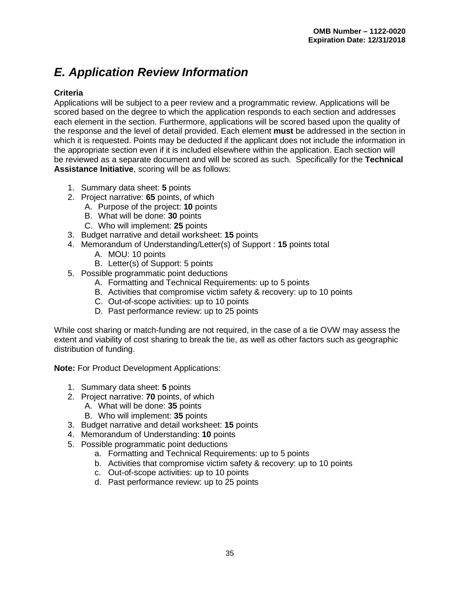# <span id="page-39-0"></span>*E. Application Review Information*

#### <span id="page-39-1"></span>**Criteria**

Applications will be subject to a peer review and a programmatic review. Applications will be scored based on the degree to which the application responds to each section and addresses each element in the section. Furthermore, applications will be scored based upon the quality of the response and the level of detail provided. Each element **must** be addressed in the section in which it is requested. Points may be deducted if the applicant does not include the information in the appropriate section even if it is included elsewhere within the application. Each section will be reviewed as a separate document and will be scored as such. Specifically for the **Technical Assistance Initiative**, scoring will be as follows:

- 1. Summary data sheet: **5** points
- 2. Project narrative: **65** points, of which
	- A. Purpose of the project: **10** points
	- B. What will be done: **30** points
	- C. Who will implement: **25** points
- 3. Budget narrative and detail worksheet: **15** points
- 4. Memorandum of Understanding/Letter(s) of Support : **15** points total
	- A. MOU: 10 points
	- B. Letter(s) of Support: 5 points
- 5. Possible programmatic point deductions
	- A. Formatting and Technical Requirements: up to 5 points
	- B. Activities that compromise victim safety & recovery: up to 10 points
	- C. Out-of-scope activities: up to 10 points
	- D. Past performance review: up to 25 points

While cost sharing or match-funding are not required, in the case of a tie OVW may assess the extent and viability of cost sharing to break the tie, as well as other factors such as geographic distribution of funding.

**Note:** For Product Development Applications:

- 1. Summary data sheet: **5** points
- 2. Project narrative: **70** points, of which
	- A. What will be done: **35** points
	- B. Who will implement: **35** points
- 3. Budget narrative and detail worksheet: **15** points
- 4. Memorandum of Understanding: **10** points
- 5. Possible programmatic point deductions
	- a. Formatting and Technical Requirements: up to 5 points
	- b. Activities that compromise victim safety & recovery: up to 10 points
	- c. Out-of-scope activities: up to 10 points
	- d. Past performance review: up to 25 points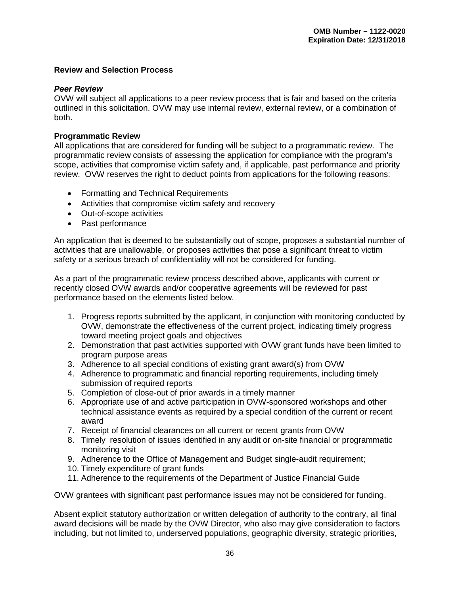#### <span id="page-40-0"></span>**Review and Selection Process**

#### <span id="page-40-1"></span>*Peer Review*

OVW will subject all applications to a peer review process that is fair and based on the criteria outlined in this solicitation. OVW may use internal review, external review, or a combination of both.

#### <span id="page-40-2"></span>**Programmatic Review**

All applications that are considered for funding will be subject to a programmatic review. The programmatic review consists of assessing the application for compliance with the program's scope, activities that compromise victim safety and, if applicable, past performance and priority review. OVW reserves the right to deduct points from applications for the following reasons:

- Formatting and Technical Requirements
- Activities that compromise victim safety and recovery
- Out-of-scope activities
- Past performance

An application that is deemed to be substantially out of scope, proposes a substantial number of activities that are unallowable, or proposes activities that pose a significant threat to victim safety or a serious breach of confidentiality will not be considered for funding.

As a part of the programmatic review process described above, applicants with current or recently closed OVW awards and/or cooperative agreements will be reviewed for past performance based on the elements listed below.

- 1. Progress reports submitted by the applicant, in conjunction with monitoring conducted by OVW, demonstrate the effectiveness of the current project, indicating timely progress toward meeting project goals and objectives
- 2. Demonstration that past activities supported with OVW grant funds have been limited to program purpose areas
- 3. Adherence to all special conditions of existing grant award(s) from OVW
- 4. Adherence to programmatic and financial reporting requirements, including timely submission of required reports
- 5. Completion of close-out of prior awards in a timely manner
- 6. Appropriate use of and active participation in OVW-sponsored workshops and other technical assistance events as required by a special condition of the current or recent award
- 7. Receipt of financial clearances on all current or recent grants from OVW
- 8. Timely resolution of issues identified in any audit or on-site financial or programmatic monitoring visit
- 9. Adherence to the Office of Management and Budget single-audit requirement;
- 10. Timely expenditure of grant funds
- 11. Adherence to the requirements of the Department of Justice Financial Guide

OVW grantees with significant past performance issues may not be considered for funding.

Absent explicit statutory authorization or written delegation of authority to the contrary, all final award decisions will be made by the OVW Director, who also may give consideration to factors including, but not limited to, underserved populations, geographic diversity, strategic priorities,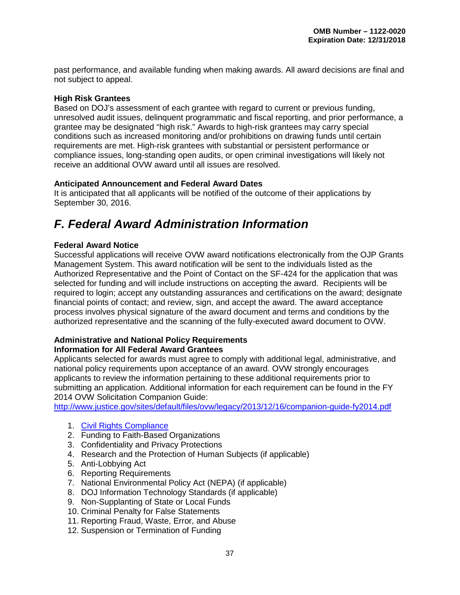past performance, and available funding when making awards. All award decisions are final and not subject to appeal.

#### <span id="page-41-0"></span>**High Risk Grantees**

Based on DOJ's assessment of each grantee with regard to current or previous funding, unresolved audit issues, delinquent programmatic and fiscal reporting, and prior performance, a grantee may be designated "high risk." Awards to high-risk grantees may carry special conditions such as increased monitoring and/or prohibitions on drawing funds until certain requirements are met. High-risk grantees with substantial or persistent performance or compliance issues, long-standing open audits, or open criminal investigations will likely not receive an additional OVW award until all issues are resolved.

#### <span id="page-41-1"></span>**Anticipated Announcement and Federal Award Dates**

It is anticipated that all applicants will be notified of the outcome of their applications by September 30, 2016.

# <span id="page-41-2"></span>*F. Federal Award Administration Information*

#### <span id="page-41-3"></span>**Federal Award Notice**

Successful applications will receive OVW award notifications electronically from the OJP Grants Management System. This award notification will be sent to the individuals listed as the Authorized Representative and the Point of Contact on the SF-424 for the application that was selected for funding and will include instructions on accepting the award. Recipients will be required to login; accept any outstanding assurances and certifications on the award; designate financial points of contact; and review, sign, and accept the award. The award acceptance process involves physical signature of the award document and terms and conditions by the authorized representative and the scanning of the fully-executed award document to OVW.

#### <span id="page-41-4"></span>**Administrative and National Policy Requirements Information for All Federal Award Grantees**

Applicants selected for awards must agree to comply with additional legal, administrative, and national policy requirements upon acceptance of an award. OVW strongly encourages applicants to review the information pertaining to these additional requirements prior to submitting an application. Additional information for each requirement can be found in the FY 2014 OVW Solicitation Companion Guide:

<http://www.justice.gov/sites/default/files/ovw/legacy/2013/12/16/companion-guide-fy2014.pdf>

- 1. [Civil Rights Compliance](http://www.ojp.usdoj.gov/about/ocr/statutes.htm)
- 2. Funding to Faith-Based Organizations
- 3. Confidentiality and Privacy Protections
- 4. Research and the Protection of Human Subjects (if applicable)
- 5. Anti-Lobbying Act
- 6. Reporting Requirements
- 7. National Environmental Policy Act (NEPA) (if applicable)
- 8. DOJ Information Technology Standards (if applicable)
- 9. Non-Supplanting of State or Local Funds
- 10. Criminal Penalty for False Statements
- 11. Reporting Fraud, Waste, Error, and Abuse
- 12. Suspension or Termination of Funding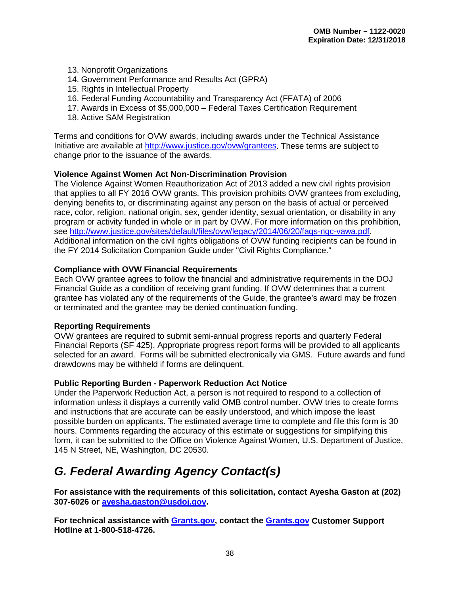- 13. Nonprofit Organizations
- 14. Government Performance and Results Act (GPRA)
- 15. Rights in Intellectual Property
- 16. Federal Funding Accountability and Transparency Act (FFATA) of 2006
- 17. Awards in Excess of \$5,000,000 Federal Taxes Certification Requirement
- 18. Active SAM Registration

Terms and conditions for OVW awards, including awards under the Technical Assistance Initiative are available at [http://www.justice.gov/ovw/grantees.](http://www.justice.gov/ovw/grantees) These terms are subject to change prior to the issuance of the awards.

#### <span id="page-42-0"></span>**Violence Against Women Act Non-Discrimination Provision**

The Violence Against Women Reauthorization Act of 2013 added a new civil rights provision that applies to all FY 2016 OVW grants. This provision prohibits OVW grantees from excluding, denying benefits to, or discriminating against any person on the basis of actual or perceived race, color, religion, national origin, sex, gender identity, sexual orientation, or disability in any program or activity funded in whole or in part by OVW. For more information on this prohibition, see [http://www.justice.gov/sites/default/files/ovw/legacy/2014/06/20/faqs-ngc-vawa.pdf.](http://www.justice.gov/sites/default/files/ovw/legacy/2014/06/20/faqs-ngc-vawa.pdf) Additional information on the civil rights obligations of OVW funding recipients can be found in the FY 2014 Solicitation Companion Guide under "Civil Rights Compliance."

#### <span id="page-42-1"></span>**Compliance with OVW Financial Requirements**

Each OVW grantee agrees to follow the financial and administrative requirements in the DOJ Financial Guide as a condition of receiving grant funding. If OVW determines that a current grantee has violated any of the requirements of the Guide, the grantee's award may be frozen or terminated and the grantee may be denied continuation funding.

#### <span id="page-42-2"></span>**Reporting Requirements**

OVW grantees are required to submit semi-annual progress reports and quarterly Federal Financial Reports (SF 425). Appropriate progress report forms will be provided to all applicants selected for an award. Forms will be submitted electronically via GMS. Future awards and fund drawdowns may be withheld if forms are delinquent.

#### <span id="page-42-3"></span>**Public Reporting Burden - Paperwork Reduction Act Notice**

Under the Paperwork Reduction Act, a person is not required to respond to a collection of information unless it displays a currently valid OMB control number. OVW tries to create forms and instructions that are accurate can be easily understood, and which impose the least possible burden on applicants. The estimated average time to complete and file this form is 30 hours. Comments regarding the accuracy of this estimate or suggestions for simplifying this form, it can be submitted to the Office on Violence Against Women, U.S. Department of Justice, 145 N Street, NE, Washington, DC 20530.

# <span id="page-42-4"></span>*G. Federal Awarding Agency Contact(s)*

**For assistance with the requirements of this solicitation, contact Ayesha Gaston at (202) 307-6026 or [ayesha.gaston@usdoj.gov.](mailto:ayesha.gaston@usdoj.gov)**

**For technical assistance with [Grants.gov,](http://www.grants.gov/) contact the [Grants.gov](http://www.grants.gov/) Customer Support Hotline at 1-800-518-4726.**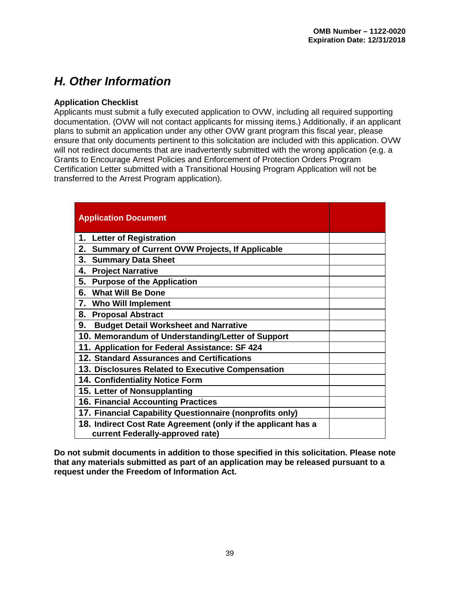# <span id="page-43-0"></span>*H. Other Information*

#### <span id="page-43-1"></span>**Application Checklist**

Applicants must submit a fully executed application to OVW, including all required supporting documentation. (OVW will not contact applicants for missing items.) Additionally, if an applicant plans to submit an application under any other OVW grant program this fiscal year, please ensure that only documents pertinent to this solicitation are included with this application. OVW will not redirect documents that are inadvertently submitted with the wrong application (e.g. a Grants to Encourage Arrest Policies and Enforcement of Protection Orders Program Certification Letter submitted with a Transitional Housing Program Application will not be transferred to the Arrest Program application).

| <b>Application Document</b>                                                                       |  |
|---------------------------------------------------------------------------------------------------|--|
| 1. Letter of Registration                                                                         |  |
| 2.<br><b>Summary of Current OVW Projects, If Applicable</b>                                       |  |
| 3.<br><b>Summary Data Sheet</b>                                                                   |  |
| 4.<br><b>Project Narrative</b>                                                                    |  |
| 5.<br><b>Purpose of the Application</b>                                                           |  |
| 6. What Will Be Done                                                                              |  |
| 7. Who Will Implement                                                                             |  |
| 8.<br><b>Proposal Abstract</b>                                                                    |  |
| 9.<br><b>Budget Detail Worksheet and Narrative</b>                                                |  |
| 10. Memorandum of Understanding/Letter of Support                                                 |  |
| 11. Application for Federal Assistance: SF 424                                                    |  |
| 12. Standard Assurances and Certifications                                                        |  |
| 13. Disclosures Related to Executive Compensation                                                 |  |
| 14. Confidentiality Notice Form                                                                   |  |
| 15. Letter of Nonsupplanting                                                                      |  |
| <b>16. Financial Accounting Practices</b>                                                         |  |
| 17. Financial Capability Questionnaire (nonprofits only)                                          |  |
| 18. Indirect Cost Rate Agreement (only if the applicant has a<br>current Federally-approved rate) |  |

<span id="page-43-2"></span>**Do not submit documents in addition to those specified in this solicitation. Please note that any materials submitted as part of an application may be released pursuant to a request under the Freedom of Information Act.**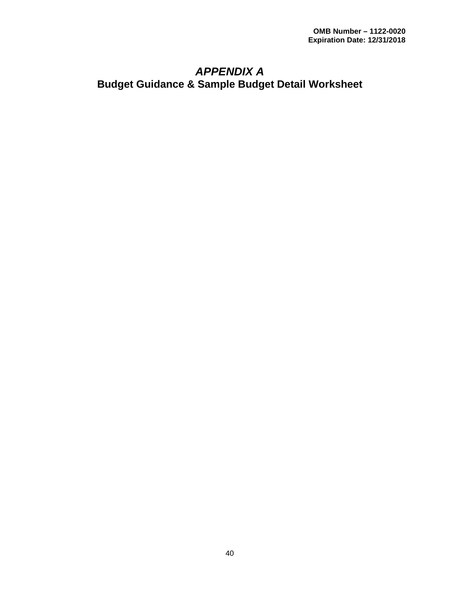### <span id="page-44-0"></span>*APPENDIX A*  **Budget Guidance & Sample Budget Detail Worksheet**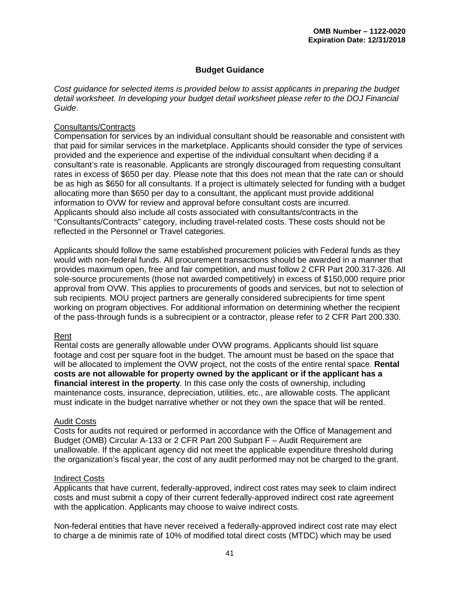#### **Budget Guidance**

<span id="page-45-0"></span>*Cost guidance for selected items is provided below to assist applicants in preparing the budget detail worksheet. In developing your budget detail worksheet please refer to the DOJ Financial Guide*.

#### Consultants/Contracts

Compensation for services by an individual consultant should be reasonable and consistent with that paid for similar services in the marketplace. Applicants should consider the type of services provided and the experience and expertise of the individual consultant when deciding if a consultant's rate is reasonable. Applicants are strongly discouraged from requesting consultant rates in excess of \$650 per day. Please note that this does not mean that the rate can or should be as high as \$650 for all consultants. If a project is ultimately selected for funding with a budget allocating more than \$650 per day to a consultant, the applicant must provide additional information to OVW for review and approval before consultant costs are incurred. Applicants should also include all costs associated with consultants/contracts in the "Consultants/Contracts" category, including travel-related costs. These costs should not be reflected in the Personnel or Travel categories.

Applicants should follow the same established procurement policies with Federal funds as they would with non-federal funds. All procurement transactions should be awarded in a manner that provides maximum open, free and fair competition, and must follow 2 CFR Part 200.317-326. All sole-source procurements (those not awarded competitively) in excess of \$150,000 require prior approval from OVW. This applies to procurements of goods and services, but not to selection of sub recipients. MOU project partners are generally considered subrecipients for time spent working on program objectives. For additional information on determining whether the recipient of the pass-through funds is a subrecipient or a contractor, please refer to 2 CFR Part 200.330.

#### Rent

Rental costs are generally allowable under OVW programs. Applicants should list square footage and cost per square foot in the budget. The amount must be based on the space that will be allocated to implement the OVW project, not the costs of the entire rental space. **Rental costs are not allowable for property owned by the applicant or if the applicant has a financial interest in the property**. In this case only the costs of ownership, including maintenance costs, insurance, depreciation, utilities, etc., are allowable costs. The applicant must indicate in the budget narrative whether or not they own the space that will be rented.

#### Audit Costs

Costs for audits not required or performed in accordance with the Office of Management and Budget (OMB) Circular A-133 or 2 CFR Part 200 Subpart F – Audit Requirement are unallowable. If the applicant agency did not meet the applicable expenditure threshold during the organization's fiscal year, the cost of any audit performed may not be charged to the grant.

#### Indirect Costs

Applicants that have current, federally-approved, indirect cost rates may seek to claim indirect costs and must submit a copy of their current federally-approved indirect cost rate agreement with the application. Applicants may choose to waive indirect costs.

Non-federal entities that have never received a federally-approved indirect cost rate may elect to charge a de minimis rate of 10% of modified total direct costs (MTDC) which may be used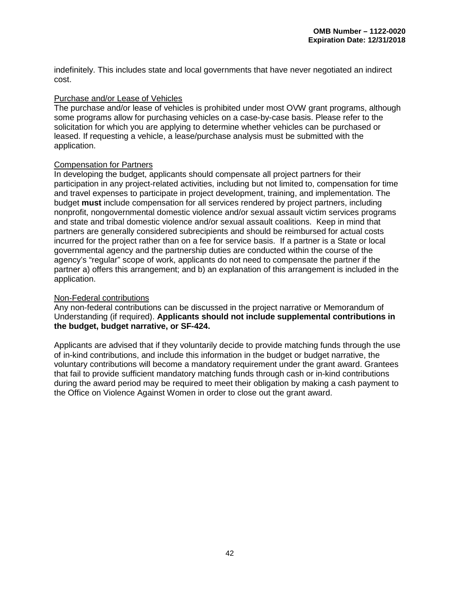indefinitely. This includes state and local governments that have never negotiated an indirect cost.

#### Purchase and/or Lease of Vehicles

The purchase and/or lease of vehicles is prohibited under most OVW grant programs, although some programs allow for purchasing vehicles on a case-by-case basis. Please refer to the solicitation for which you are applying to determine whether vehicles can be purchased or leased. If requesting a vehicle, a lease/purchase analysis must be submitted with the application.

#### Compensation for Partners

In developing the budget, applicants should compensate all project partners for their participation in any project-related activities, including but not limited to, compensation for time and travel expenses to participate in project development, training, and implementation. The budget **must** include compensation for all services rendered by project partners, including nonprofit, nongovernmental domestic violence and/or sexual assault victim services programs and state and tribal domestic violence and/or sexual assault coalitions. Keep in mind that partners are generally considered subrecipients and should be reimbursed for actual costs incurred for the project rather than on a fee for service basis. If a partner is a State or local governmental agency and the partnership duties are conducted within the course of the agency's "regular" scope of work, applicants do not need to compensate the partner if the partner a) offers this arrangement; and b) an explanation of this arrangement is included in the application.

#### Non-Federal contributions

Any non-federal contributions can be discussed in the project narrative or Memorandum of Understanding (if required). **Applicants should not include supplemental contributions in the budget, budget narrative, or SF-424.** 

Applicants are advised that if they voluntarily decide to provide matching funds through the use of in-kind contributions, and include this information in the budget or budget narrative, the voluntary contributions will become a mandatory requirement under the grant award. Grantees that fail to provide sufficient mandatory matching funds through cash or in-kind contributions during the award period may be required to meet their obligation by making a cash payment to the Office on Violence Against Women in order to close out the grant award.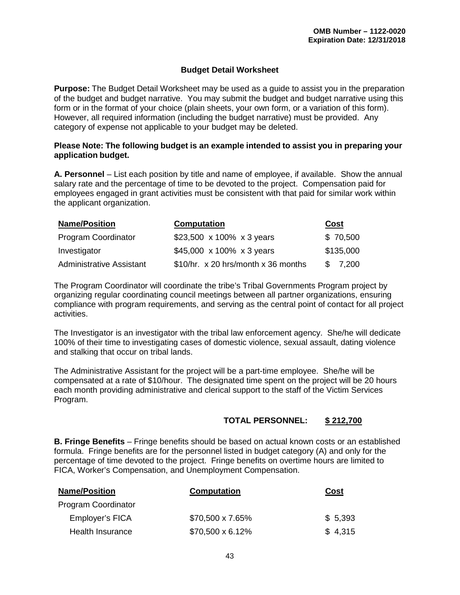#### **Budget Detail Worksheet**

<span id="page-47-0"></span>**Purpose:** The Budget Detail Worksheet may be used as a guide to assist you in the preparation of the budget and budget narrative. You may submit the budget and budget narrative using this form or in the format of your choice (plain sheets, your own form, or a variation of this form). However, all required information (including the budget narrative) must be provided. Any category of expense not applicable to your budget may be deleted.

#### **Please Note: The following budget is an example intended to assist you in preparing your application budget.**

**A. Personnel** – List each position by title and name of employee, if available. Show the annual salary rate and the percentage of time to be devoted to the project. Compensation paid for employees engaged in grant activities must be consistent with that paid for similar work within the applicant organization.

| <b>Name/Position</b>            | <b>Computation</b>                  | Cost         |  |
|---------------------------------|-------------------------------------|--------------|--|
| <b>Program Coordinator</b>      | \$23,500 x 100% x 3 years           | \$70,500     |  |
| Investigator                    | \$45,000 x 100% x 3 years           | \$135,000    |  |
| <b>Administrative Assistant</b> | \$10/hr. x 20 hrs/month x 36 months | -SS<br>7,200 |  |

The Program Coordinator will coordinate the tribe's Tribal Governments Program project by organizing regular coordinating council meetings between all partner organizations, ensuring compliance with program requirements, and serving as the central point of contact for all project activities.

The Investigator is an investigator with the tribal law enforcement agency. She/he will dedicate 100% of their time to investigating cases of domestic violence, sexual assault, dating violence and stalking that occur on tribal lands.

The Administrative Assistant for the project will be a part-time employee. She/he will be compensated at a rate of \$10/hour. The designated time spent on the project will be 20 hours each month providing administrative and clerical support to the staff of the Victim Services Program.

#### **TOTAL PERSONNEL: \$ 212,700**

**B. Fringe Benefits** – Fringe benefits should be based on actual known costs or an established formula. Fringe benefits are for the personnel listed in budget category (A) and only for the percentage of time devoted to the project. Fringe benefits on overtime hours are limited to FICA, Worker's Compensation, and Unemployment Compensation.

| <b>Name/Position</b>       | <b>Computation</b>      | Cost    |
|----------------------------|-------------------------|---------|
| <b>Program Coordinator</b> |                         |         |
| Employer's FICA            | \$70,500 x 7.65%        | \$5,393 |
| Health Insurance           | $$70,500 \times 6.12\%$ | \$4,315 |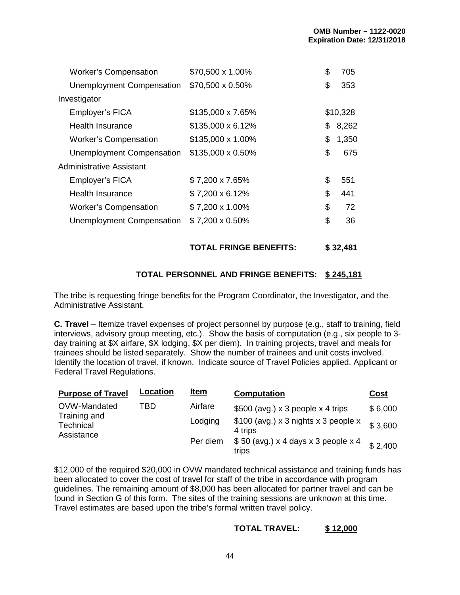| <b>Worker's Compensation</b>     | \$70,500 x 1.00%         | \$<br>705   |
|----------------------------------|--------------------------|-------------|
| <b>Unemployment Compensation</b> | \$70,500 x 0.50%         | \$<br>353   |
| Investigator                     |                          |             |
| Employer's FICA                  | \$135,000 x 7.65%        | \$10,328    |
| Health Insurance                 | $$135,000 \times 6.12\%$ | \$<br>8,262 |
| <b>Worker's Compensation</b>     | \$135,000 x 1.00%        | \$<br>1,350 |
| Unemployment Compensation        | \$135,000 x 0.50%        | \$<br>675   |
| Administrative Assistant         |                          |             |
| Employer's FICA                  | \$7,200 x 7.65%          | \$<br>551   |
| <b>Health Insurance</b>          | \$7,200 x 6.12%          | \$<br>441   |
| <b>Worker's Compensation</b>     | \$7,200 x 1.00%          | \$<br>72    |
| Unemployment Compensation        | $$7,200 \times 0.50\%$   | \$<br>36    |
|                                  |                          |             |

**TOTAL FRINGE BENEFITS: \$ 32,481**

#### **TOTAL PERSONNEL AND FRINGE BENEFITS: \$ 245,181**

The tribe is requesting fringe benefits for the Program Coordinator, the Investigator, and the Administrative Assistant.

**C. Travel** – Itemize travel expenses of project personnel by purpose (e.g., staff to training, field interviews, advisory group meeting, etc.). Show the basis of computation (e.g., six people to 3 day training at \$X airfare, \$X lodging, \$X per diem). In training projects, travel and meals for trainees should be listed separately. Show the number of trainees and unit costs involved. Identify the location of travel, if known. Indicate source of Travel Policies applied, Applicant or Federal Travel Regulations.

| <b>Purpose of Travel</b>                | <b>Location</b> | <u>Item</u> | <b>Computation</b>                              | <u>Cost</u> |
|-----------------------------------------|-----------------|-------------|-------------------------------------------------|-------------|
| OVW-Mandated                            | TBD             | Airfare     | \$500 (avg.) $\times$ 3 people $\times$ 4 trips | \$6,000     |
| Training and<br>Technical<br>Assistance |                 | Lodging     | \$100 (avg.) x 3 nights x 3 people x<br>4 trips | \$3,600     |
|                                         |                 | Per diem    | $$50$ (avg.) x 4 days x 3 people x 4<br>trips   | \$2,400     |

\$12,000 of the required \$20,000 in OVW mandated technical assistance and training funds has been allocated to cover the cost of travel for staff of the tribe in accordance with program guidelines. The remaining amount of \$8,000 has been allocated for partner travel and can be found in Section G of this form. The sites of the training sessions are unknown at this time. Travel estimates are based upon the tribe's formal written travel policy.

#### **TOTAL TRAVEL: \$ 12,000**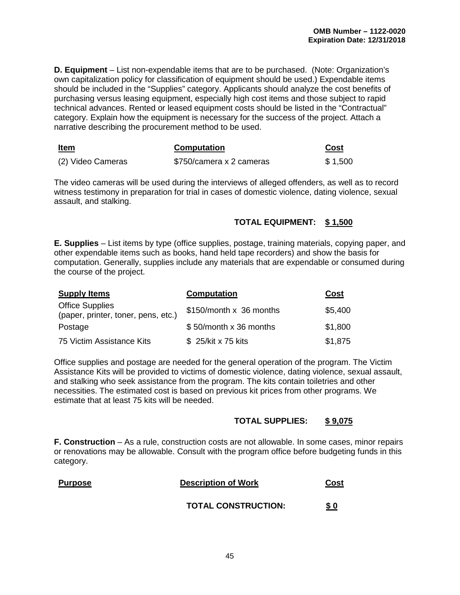**D. Equipment** – List non-expendable items that are to be purchased. (Note: Organization's own capitalization policy for classification of equipment should be used.) Expendable items should be included in the "Supplies" category. Applicants should analyze the cost benefits of purchasing versus leasing equipment, especially high cost items and those subject to rapid technical advances. Rented or leased equipment costs should be listed in the "Contractual" category. Explain how the equipment is necessary for the success of the project. Attach a narrative describing the procurement method to be used.

| <b>Item</b><br>$\sim$ $\sim$ | <b>Computation</b>       | Cost    |
|------------------------------|--------------------------|---------|
| (2) Video Cameras            | \$750/camera x 2 cameras | \$1,500 |

The video cameras will be used during the interviews of alleged offenders, as well as to record witness testimony in preparation for trial in cases of domestic violence, dating violence, sexual assault, and stalking.

#### **TOTAL EQUIPMENT: \$ 1,500**

**E. Supplies** – List items by type (office supplies, postage, training materials, copying paper, and other expendable items such as books, hand held tape recorders) and show the basis for computation. Generally, supplies include any materials that are expendable or consumed during the course of the project.

| <b>Supply Items</b>                                           | <b>Computation</b>      | Cost    |
|---------------------------------------------------------------|-------------------------|---------|
| <b>Office Supplies</b><br>(paper, printer, toner, pens, etc.) | \$150/month x 36 months | \$5,400 |
| Postage                                                       | \$50/month x 36 months  | \$1,800 |
| 75 Victim Assistance Kits                                     | \$25/kit x 75 kits      | \$1,875 |

Office supplies and postage are needed for the general operation of the program. The Victim Assistance Kits will be provided to victims of domestic violence, dating violence, sexual assault, and stalking who seek assistance from the program. The kits contain toiletries and other necessities. The estimated cost is based on previous kit prices from other programs. We estimate that at least 75 kits will be needed.

#### **TOTAL SUPPLIES: \$ 9,075**

**F. Construction** – As a rule, construction costs are not allowable. In some cases, minor repairs or renovations may be allowable. Consult with the program office before budgeting funds in this category.

| <b>Purpose</b> | <b>Description of Work</b> | Cost        |
|----------------|----------------------------|-------------|
|                | <b>TOTAL CONSTRUCTION:</b> | <u>\$ ዐ</u> |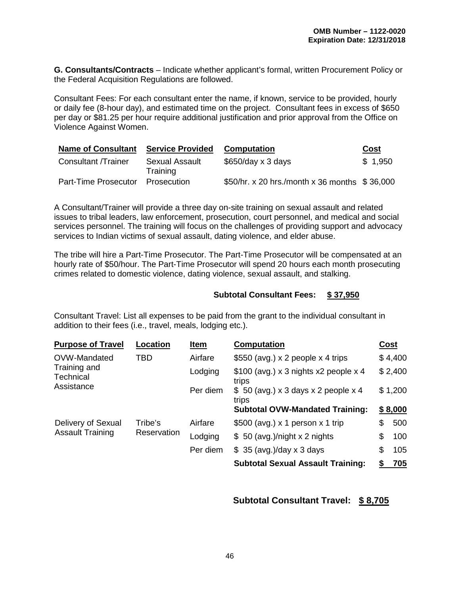**G. Consultants/Contracts** – Indicate whether applicant's formal, written Procurement Policy or the Federal Acquisition Regulations are followed.

Consultant Fees: For each consultant enter the name, if known, service to be provided, hourly or daily fee (8-hour day), and estimated time on the project. Consultant fees in excess of \$650 per day or \$81.25 per hour require additional justification and prior approval from the Office on Violence Against Women.

| <b>Name of Consultant</b> | <b>Service Provided</b>    | <b>Computation</b>                            | Cost    |
|---------------------------|----------------------------|-----------------------------------------------|---------|
| Consultant /Trainer       | Sexual Assault<br>Training | $$650/day \times 3 days$                      | \$1,950 |
| Part-Time Prosecutor      | Prosecution                | \$50/hr. x 20 hrs./month x 36 months \$36,000 |         |

A Consultant/Trainer will provide a three day on-site training on sexual assault and related issues to tribal leaders, law enforcement, prosecution, court personnel, and medical and social services personnel. The training will focus on the challenges of providing support and advocacy services to Indian victims of sexual assault, dating violence, and elder abuse.

The tribe will hire a Part-Time Prosecutor. The Part-Time Prosecutor will be compensated at an hourly rate of \$50/hour. The Part-Time Prosecutor will spend 20 hours each month prosecuting crimes related to domestic violence, dating violence, sexual assault, and stalking.

#### **Subtotal Consultant Fees: \$ 37,950**

Consultant Travel: List all expenses to be paid from the grant to the individual consultant in addition to their fees (i.e., travel, meals, lodging etc.).

| <b>Purpose of Travel</b>                                | Location               | Item     | <b>Computation</b>                              |    | Cost    |
|---------------------------------------------------------|------------------------|----------|-------------------------------------------------|----|---------|
| OVW-Mandated<br>Training and<br>Technical<br>Assistance | TBD                    | Airfare  | \$550 (avg.) $\times$ 2 people $\times$ 4 trips |    | \$4,400 |
|                                                         |                        | Lodging  | $$100$ (avg.) x 3 nights x2 people x 4<br>trips |    | \$2,400 |
|                                                         |                        | Per diem | $$50$ (avg.) x 3 days x 2 people x 4<br>trips   |    | \$1,200 |
|                                                         |                        |          | <b>Subtotal OVW-Mandated Training:</b>          |    | \$8,000 |
| Delivery of Sexual<br><b>Assault Training</b>           | Tribe's<br>Reservation | Airfare  | \$500 (avg.) $\times$ 1 person $\times$ 1 trip  | \$ | 500     |
|                                                         |                        | Lodging  | $$50$ (avg.)/night x 2 nights                   | \$ | 100     |
|                                                         |                        | Per diem | $$35$ (avg.)/day x 3 days                       | S  | 105     |
|                                                         |                        |          | <b>Subtotal Sexual Assault Training:</b>        |    | 705     |

#### **Subtotal Consultant Travel: \$ 8,705**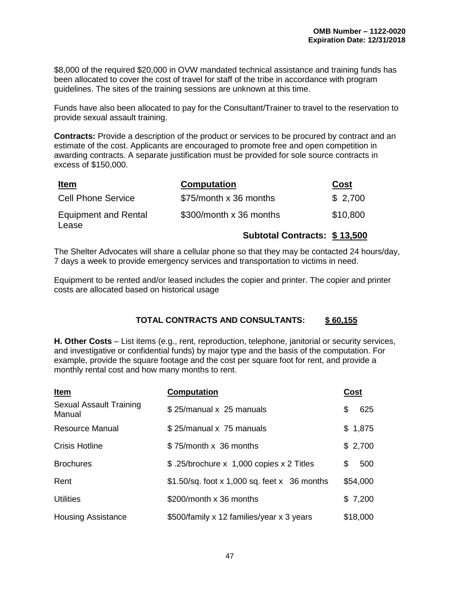\$8,000 of the required \$20,000 in OVW mandated technical assistance and training funds has been allocated to cover the cost of travel for staff of the tribe in accordance with program guidelines. The sites of the training sessions are unknown at this time.

Funds have also been allocated to pay for the Consultant/Trainer to travel to the reservation to provide sexual assault training.

**Contracts:** Provide a description of the product or services to be procured by contract and an estimate of the cost. Applicants are encouraged to promote free and open competition in awarding contracts. A separate justification must be provided for sole source contracts in excess of \$150,000.

| <u>Item</u>                          | <b>Computation</b>           | <b>Cost</b> |
|--------------------------------------|------------------------------|-------------|
| <b>Cell Phone Service</b>            | \$75/month x 36 months       | \$2,700     |
| <b>Equipment and Rental</b><br>Lease | \$300/month x 36 months      | \$10,800    |
|                                      | Subtotal Contracts: \$13,500 |             |

The Shelter Advocates will share a cellular phone so that they may be contacted 24 hours/day, 7 days a week to provide emergency services and transportation to victims in need.

Equipment to be rented and/or leased includes the copier and printer. The copier and printer costs are allocated based on historical usage

#### **TOTAL CONTRACTS AND CONSULTANTS: \$ 60,155**

**H. Other Costs** – List items (e.g., rent, reproduction, telephone, janitorial or security services, and investigative or confidential funds) by major type and the basis of the computation. For example, provide the square footage and the cost per square foot for rent, and provide a monthly rental cost and how many months to rent.

| Item                              | <b>Computation</b>                            | Cost      |
|-----------------------------------|-----------------------------------------------|-----------|
| Sexual Assault Training<br>Manual | \$25/manual x 25 manuals                      | \$<br>625 |
| <b>Resource Manual</b>            | \$25/manual x 75 manuals                      | \$1,875   |
| <b>Crisis Hotline</b>             | \$75/month x 36 months                        | \$2,700   |
| <b>Brochures</b>                  | \$.25/brochure x 1,000 copies x 2 Titles      | \$<br>500 |
| Rent                              | $$1.50/sq.$ foot x 1,000 sq. feet x 36 months | \$54,000  |
| <b>Utilities</b>                  | \$200/month x 36 months                       | \$7,200   |
| <b>Housing Assistance</b>         | \$500/family x 12 families/year x 3 years     | \$18,000  |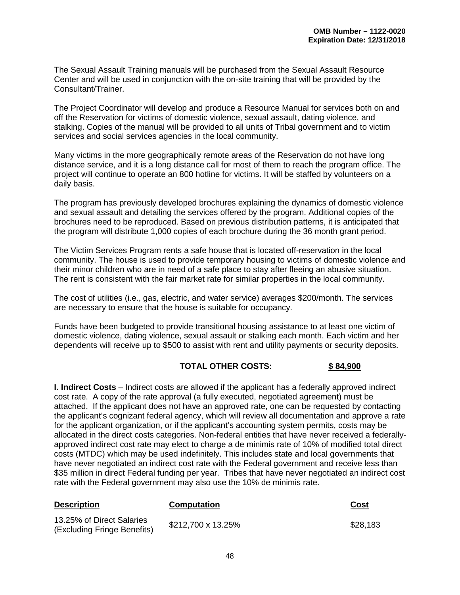The Sexual Assault Training manuals will be purchased from the Sexual Assault Resource Center and will be used in conjunction with the on-site training that will be provided by the Consultant/Trainer.

The Project Coordinator will develop and produce a Resource Manual for services both on and off the Reservation for victims of domestic violence, sexual assault, dating violence, and stalking. Copies of the manual will be provided to all units of Tribal government and to victim services and social services agencies in the local community.

Many victims in the more geographically remote areas of the Reservation do not have long distance service, and it is a long distance call for most of them to reach the program office. The project will continue to operate an 800 hotline for victims. It will be staffed by volunteers on a daily basis.

The program has previously developed brochures explaining the dynamics of domestic violence and sexual assault and detailing the services offered by the program. Additional copies of the brochures need to be reproduced. Based on previous distribution patterns, it is anticipated that the program will distribute 1,000 copies of each brochure during the 36 month grant period.

The Victim Services Program rents a safe house that is located off-reservation in the local community. The house is used to provide temporary housing to victims of domestic violence and their minor children who are in need of a safe place to stay after fleeing an abusive situation. The rent is consistent with the fair market rate for similar properties in the local community.

The cost of utilities (i.e., gas, electric, and water service) averages \$200/month. The services are necessary to ensure that the house is suitable for occupancy.

Funds have been budgeted to provide transitional housing assistance to at least one victim of domestic violence, dating violence, sexual assault or stalking each month. Each victim and her dependents will receive up to \$500 to assist with rent and utility payments or security deposits.

#### **TOTAL OTHER COSTS: \$ 84,900**

**I. Indirect Costs** – Indirect costs are allowed if the applicant has a federally approved indirect cost rate. A copy of the rate approval (a fully executed, negotiated agreement) must be attached. If the applicant does not have an approved rate, one can be requested by contacting the applicant's cognizant federal agency, which will review all documentation and approve a rate for the applicant organization, or if the applicant's accounting system permits, costs may be allocated in the direct costs categories. Non-federal entities that have never received a federallyapproved indirect cost rate may elect to charge a de minimis rate of 10% of modified total direct costs (MTDC) which may be used indefinitely. This includes state and local governments that have never negotiated an indirect cost rate with the Federal government and receive less than \$35 million in direct Federal funding per year. Tribes that have never negotiated an indirect cost rate with the Federal government may also use the 10% de minimis rate.

| <b>Description</b>                                       | <b>Computation</b> | Cost     |
|----------------------------------------------------------|--------------------|----------|
| 13.25% of Direct Salaries<br>(Excluding Fringe Benefits) | \$212,700 x 13.25% | \$28,183 |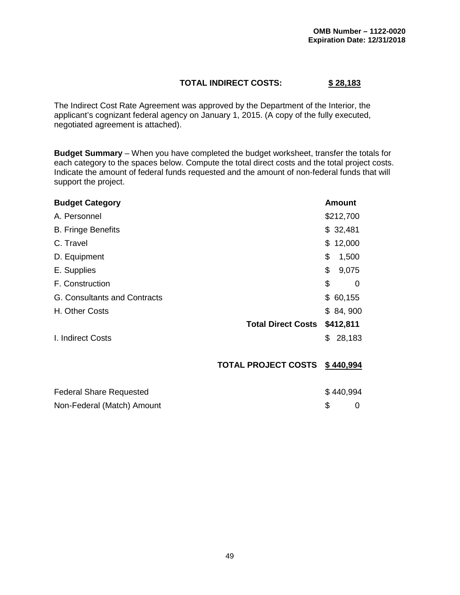#### **TOTAL INDIRECT COSTS: \$ 28,183**

The Indirect Cost Rate Agreement was approved by the Department of the Interior, the applicant's cognizant federal agency on January 1, 2015. (A copy of the fully executed, negotiated agreement is attached).

**Budget Summary** – When you have completed the budget worksheet, transfer the totals for each category to the spaces below. Compute the total direct costs and the total project costs. Indicate the amount of federal funds requested and the amount of non-federal funds that will support the project.

| <b>Budget Category</b>         |                            | Amount        |
|--------------------------------|----------------------------|---------------|
| A. Personnel                   |                            | \$212,700     |
| <b>B. Fringe Benefits</b>      |                            | \$32,481      |
| C. Travel                      |                            | 12,000<br>\$  |
| D. Equipment                   |                            | \$<br>1,500   |
| E. Supplies                    |                            | \$<br>9,075   |
| F. Construction                |                            | \$<br>0       |
| G. Consultants and Contracts   |                            | 60,155<br>\$  |
| H. Other Costs                 |                            | \$84,900      |
|                                | <b>Total Direct Costs</b>  | \$412,811     |
| I. Indirect Costs              |                            | 28,183<br>\$. |
|                                | <b>TOTAL PROJECT COSTS</b> | \$440,994     |
| <b>Federal Share Requested</b> |                            | \$440,994     |
| Non-Federal (Match) Amount     |                            | \$<br>0       |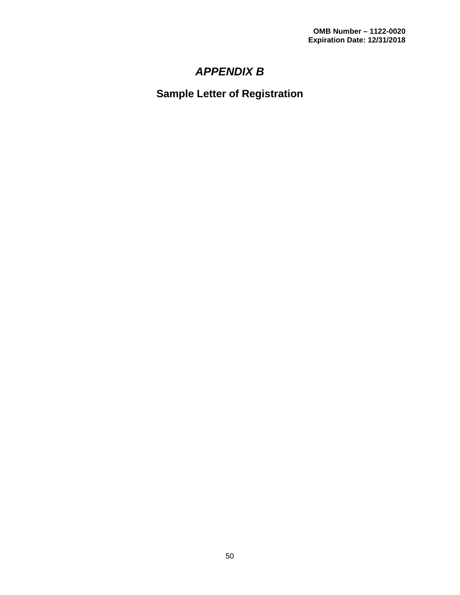# *APPENDIX B*

<span id="page-54-1"></span><span id="page-54-0"></span>**Sample Letter of Registration**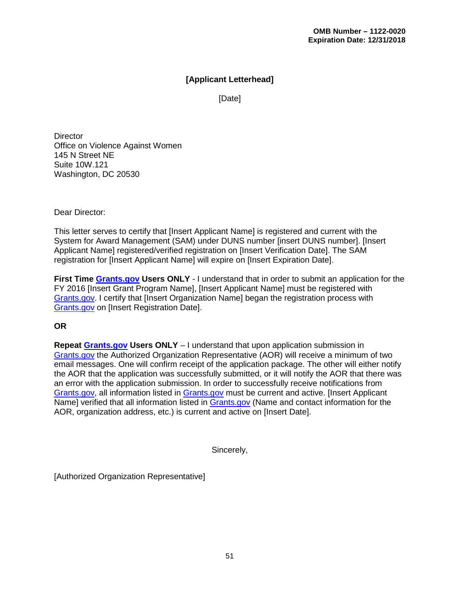#### **[Applicant Letterhead]**

[Date]

**Director** Office on Violence Against Women 145 N Street NE Suite 10W.121 Washington, DC 20530

Dear Director:

This letter serves to certify that [Insert Applicant Name] is registered and current with the System for Award Management (SAM) under DUNS number [insert DUNS number]. [Insert Applicant Name] registered/verified registration on [Insert Verification Date]. The SAM registration for [Insert Applicant Name] will expire on [Insert Expiration Date].

**First Time [Grants.gov](http://www.grants.gov/) Users ONLY** - I understand that in order to submit an application for the FY 2016 [Insert Grant Program Name], [Insert Applicant Name] must be registered with [Grants.gov.](http://www.grants.gov/) I certify that [Insert Organization Name] began the registration process with [Grants.gov](http://www.grants.gov/) on [Insert Registration Date].

#### **OR**

**Repeat [Grants.gov](http://www.grants.gov/) Users ONLY** – I understand that upon application submission in [Grants.gov](http://www.grants.gov/) the Authorized Organization Representative (AOR) will receive a minimum of two email messages. One will confirm receipt of the application package. The other will either notify the AOR that the application was successfully submitted, or it will notify the AOR that there was an error with the application submission. In order to successfully receive notifications from [Grants.gov,](http://www.grants.gov/) all information listed in [Grants.gov](http://www.grants.gov/) must be current and active. [Insert Applicant Name] verified that all information listed in [Grants.gov](http://www.grants.gov/) (Name and contact information for the AOR, organization address, etc.) is current and active on [Insert Date].

Sincerely,

[Authorized Organization Representative]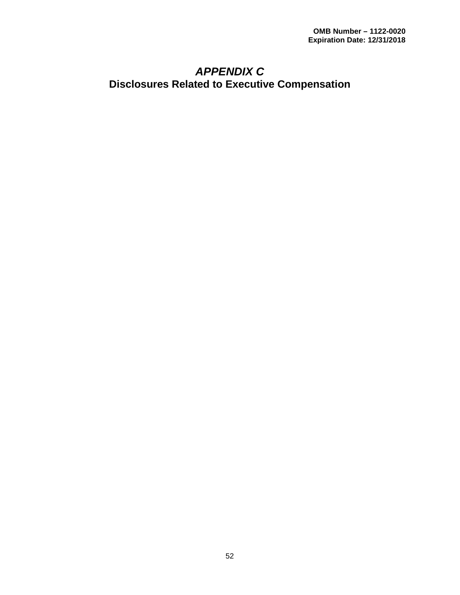### <span id="page-56-1"></span><span id="page-56-0"></span>*APPENDIX C* **Disclosures Related to Executive Compensation**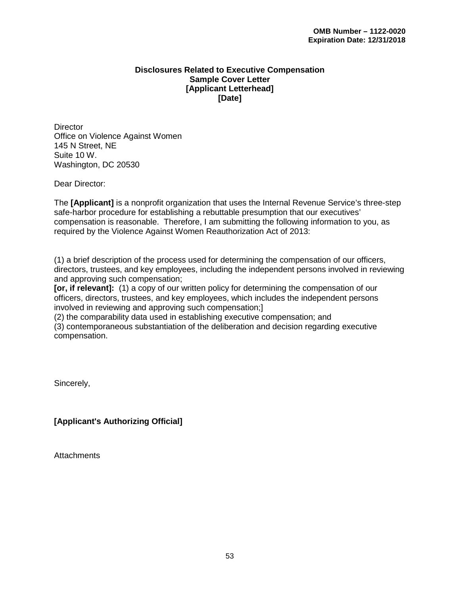#### **Disclosures Related to Executive Compensation Sample Cover Letter [Applicant Letterhead] [Date]**

**Director** Office on Violence Against Women 145 N Street, NE Suite 10 W. Washington, DC 20530

Dear Director:

The **[Applicant]** is a nonprofit organization that uses the Internal Revenue Service's three-step safe-harbor procedure for establishing a rebuttable presumption that our executives' compensation is reasonable. Therefore, I am submitting the following information to you, as required by the Violence Against Women Reauthorization Act of 2013:

(1) a brief description of the process used for determining the compensation of our officers, directors, trustees, and key employees, including the independent persons involved in reviewing and approving such compensation;

**[or, if relevant]:** (1) a copy of our written policy for determining the compensation of our officers, directors, trustees, and key employees, which includes the independent persons involved in reviewing and approving such compensation;]

(2) the comparability data used in establishing executive compensation; and

(3) contemporaneous substantiation of the deliberation and decision regarding executive compensation.

Sincerely,

**[Applicant's Authorizing Official]**

**Attachments**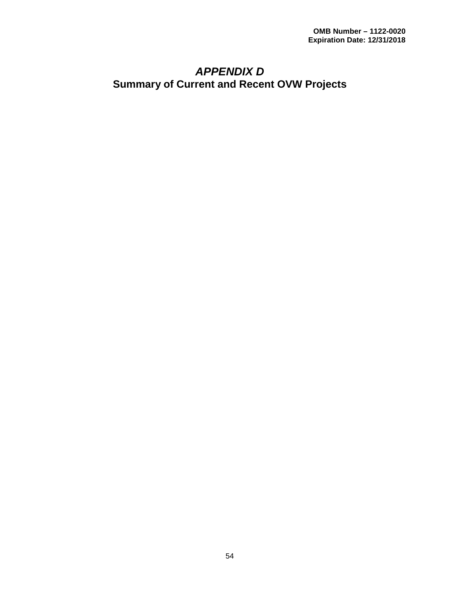## <span id="page-58-1"></span><span id="page-58-0"></span>*APPENDIX D* **Summary of Current and Recent OVW Projects**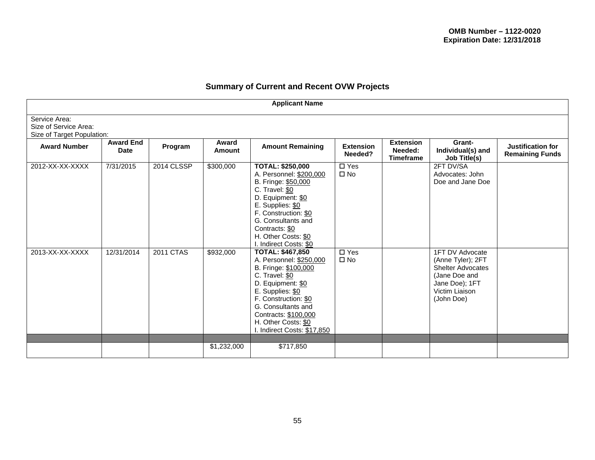#### **Summary of Current and Recent OVW Projects**

| <b>Applicant Name</b>                                                |                                 |            |                 |                                                                                                                                                                                                                                                                   |                                      |                                                 |                                                                                                                                     |                                             |
|----------------------------------------------------------------------|---------------------------------|------------|-----------------|-------------------------------------------------------------------------------------------------------------------------------------------------------------------------------------------------------------------------------------------------------------------|--------------------------------------|-------------------------------------------------|-------------------------------------------------------------------------------------------------------------------------------------|---------------------------------------------|
| Service Area:<br>Size of Service Area:<br>Size of Target Population: |                                 |            |                 |                                                                                                                                                                                                                                                                   |                                      |                                                 |                                                                                                                                     |                                             |
| <b>Award Number</b>                                                  | <b>Award End</b><br><b>Date</b> | Program    | Award<br>Amount | <b>Amount Remaining</b>                                                                                                                                                                                                                                           | <b>Extension</b><br>Needed?          | <b>Extension</b><br>Needed:<br><b>Timeframe</b> | Grant-<br>Individual(s) and<br>Job Title(s)                                                                                         | Justification for<br><b>Remaining Funds</b> |
| 2012-XX-XX-XXXX                                                      | 7/31/2015                       | 2014 CLSSP | \$300,000       | <b>TOTAL: \$250,000</b><br>A. Personnel: \$200,000<br>B. Fringe: \$50,000<br>C. Travel: \$0<br>D. Equipment: \$0<br>E. Supplies: \$0<br>F. Construction: \$0<br>G. Consultants and<br>Contracts: \$0<br>H. Other Costs: \$0<br>l. Indirect Costs: \$0             | $\overline{\Box$ Yes<br>$\square$ No |                                                 | 2FT DV/SA<br>Advocates: John<br>Doe and Jane Doe                                                                                    |                                             |
| 2013-XX-XX-XXXX                                                      | $\overline{12}/31/2014$         | 2011 CTAS  | \$932,000       | <b>TOTAL: \$467,850</b><br>A. Personnel: \$250,000<br>B. Fringe: \$100,000<br>C. Travel: \$0<br>D. Equipment: \$0<br>E. Supplies: \$0<br>F. Construction: \$0<br>G. Consultants and<br>Contracts: \$100,000<br>H. Other Costs: \$0<br>I. Indirect Costs: \$17,850 | $\square$ Yes<br>$\square$ No        |                                                 | 1FT DV Advocate<br>(Anne Tyler); 2FT<br><b>Shelter Advocates</b><br>(Jane Doe and<br>Jane Doe); 1FT<br>Victim Liaison<br>(John Doe) |                                             |
|                                                                      |                                 |            | \$1,232,000     | \$717,850                                                                                                                                                                                                                                                         |                                      |                                                 |                                                                                                                                     |                                             |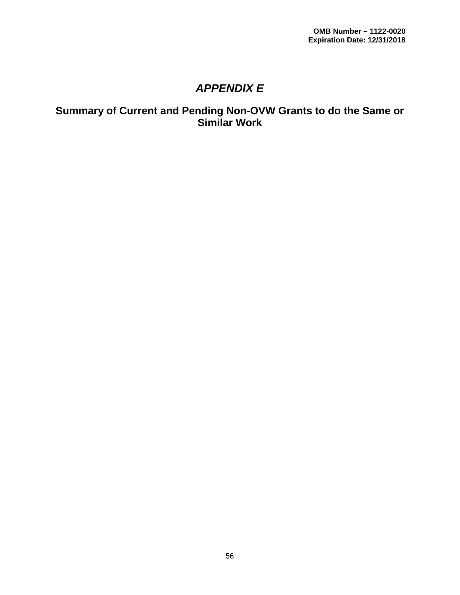## *APPENDIX E*

### <span id="page-60-1"></span><span id="page-60-0"></span>**Summary of Current and Pending Non-OVW Grants to do the Same or Similar Work**